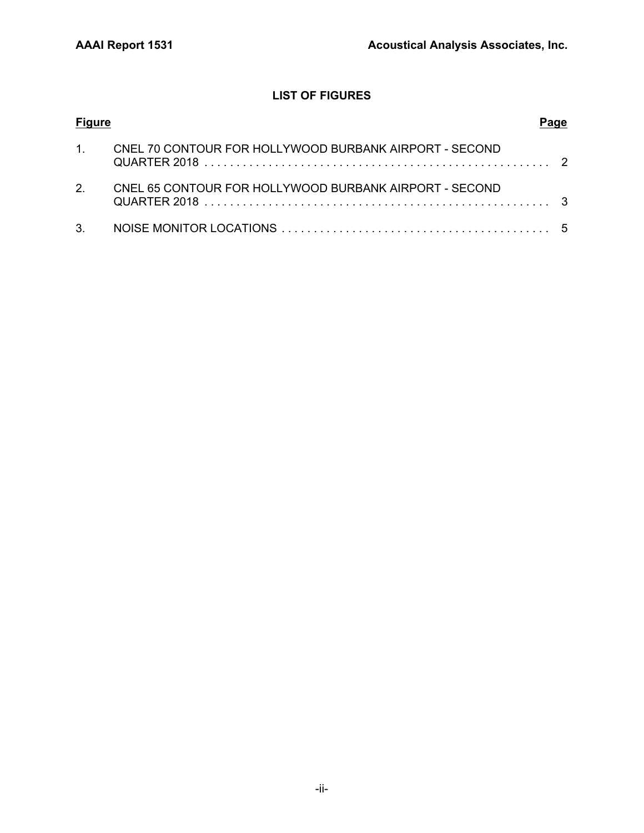## **LIST OF FIGURES**

| <b>Figure</b>  |                                                           |  |
|----------------|-----------------------------------------------------------|--|
|                | 1. CNEL 70 CONTOUR FOR HOLLYWOOD BURBANK AIRPORT - SECOND |  |
| 2 <sub>1</sub> | CNEL 65 CONTOUR FOR HOLLYWOOD BURBANK AIRPORT - SECOND    |  |
|                |                                                           |  |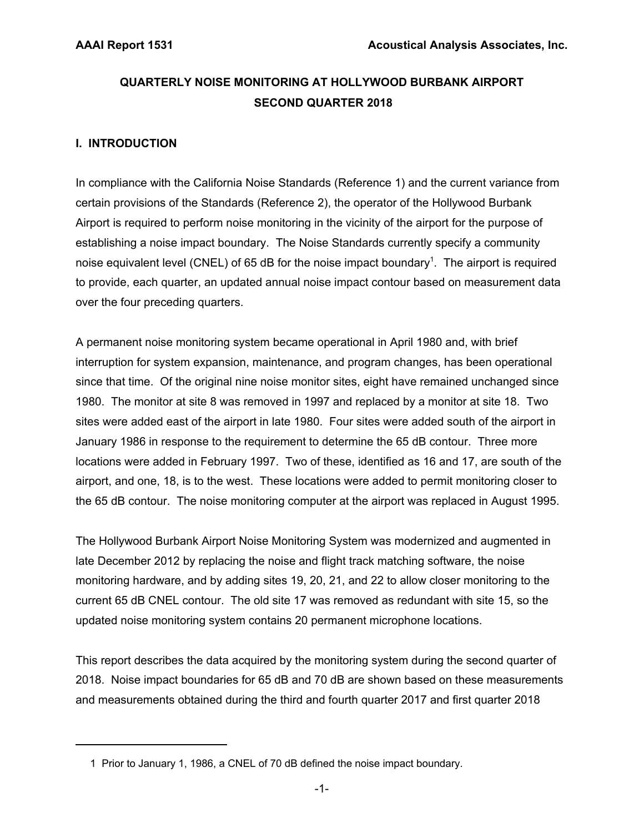## **QUARTERLY NOISE MONITORING AT HOLLYWOOD BURBANK AIRPORT SECOND QUARTER 2018**

## **I. INTRODUCTION**

In compliance with the California Noise Standards (Reference 1) and the current variance from certain provisions of the Standards (Reference 2), the operator of the Hollywood Burbank Airport is required to perform noise monitoring in the vicinity of the airport for the purpose of establishing a noise impact boundary. The Noise Standards currently specify a community noise equivalent level (CNEL) of 65 dB for the noise impact boundary<sup>1</sup>. The airport is required to provide, each quarter, an updated annual noise impact contour based on measurement data over the four preceding quarters.

A permanent noise monitoring system became operational in April 1980 and, with brief interruption for system expansion, maintenance, and program changes, has been operational since that time. Of the original nine noise monitor sites, eight have remained unchanged since 1980. The monitor at site 8 was removed in 1997 and replaced by a monitor at site 18. Two sites were added east of the airport in late 1980. Four sites were added south of the airport in January 1986 in response to the requirement to determine the 65 dB contour. Three more locations were added in February 1997. Two of these, identified as 16 and 17, are south of the airport, and one, 18, is to the west. These locations were added to permit monitoring closer to the 65 dB contour. The noise monitoring computer at the airport was replaced in August 1995.

The Hollywood Burbank Airport Noise Monitoring System was modernized and augmented in late December 2012 by replacing the noise and flight track matching software, the noise monitoring hardware, and by adding sites 19, 20, 21, and 22 to allow closer monitoring to the current 65 dB CNEL contour. The old site 17 was removed as redundant with site 15, so the updated noise monitoring system contains 20 permanent microphone locations.

This report describes the data acquired by the monitoring system during the second quarter of 2018. Noise impact boundaries for 65 dB and 70 dB are shown based on these measurements and measurements obtained during the third and fourth quarter 2017 and first quarter 2018

 <sup>1</sup> Prior to January 1, 1986, a CNEL of 70 dB defined the noise impact boundary.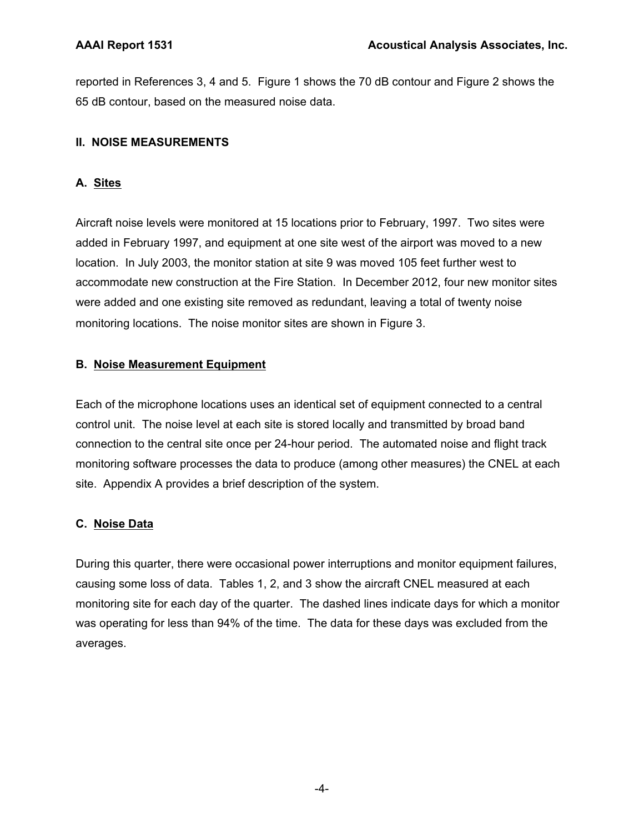reported in References 3, 4 and 5. Figure 1 shows the 70 dB contour and Figure 2 shows the 65 dB contour, based on the measured noise data.

## **II. NOISE MEASUREMENTS**

## **A. Sites**

Aircraft noise levels were monitored at 15 locations prior to February, 1997. Two sites were added in February 1997, and equipment at one site west of the airport was moved to a new location. In July 2003, the monitor station at site 9 was moved 105 feet further west to accommodate new construction at the Fire Station. In December 2012, four new monitor sites were added and one existing site removed as redundant, leaving a total of twenty noise monitoring locations. The noise monitor sites are shown in Figure 3.

## **B. Noise Measurement Equipment**

Each of the microphone locations uses an identical set of equipment connected to a central control unit. The noise level at each site is stored locally and transmitted by broad band connection to the central site once per 24-hour period. The automated noise and flight track monitoring software processes the data to produce (among other measures) the CNEL at each site. Appendix A provides a brief description of the system.

## **C. Noise Data**

During this quarter, there were occasional power interruptions and monitor equipment failures, causing some loss of data. Tables 1, 2, and 3 show the aircraft CNEL measured at each monitoring site for each day of the quarter. The dashed lines indicate days for which a monitor was operating for less than 94% of the time. The data for these days was excluded from the averages.

-4-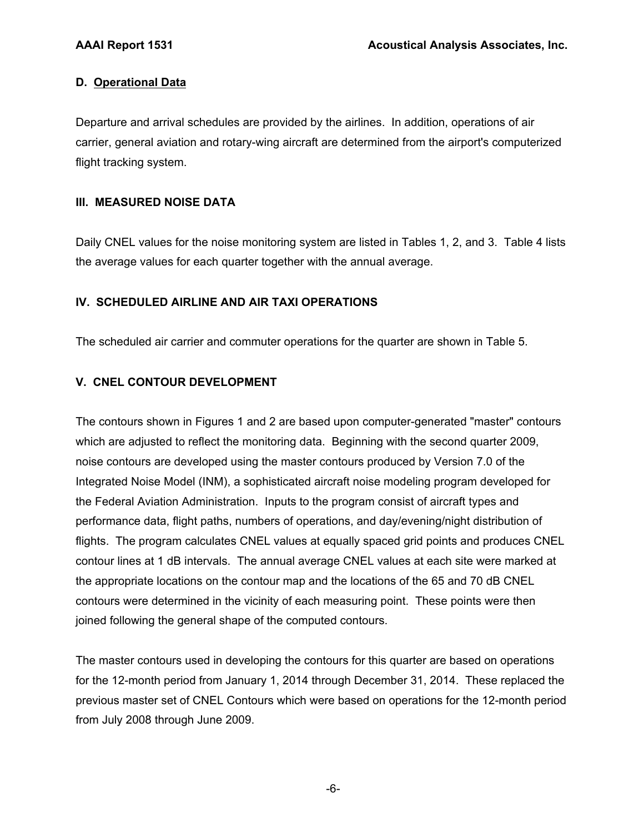## **D. Operational Data**

Departure and arrival schedules are provided by the airlines. In addition, operations of air carrier, general aviation and rotary-wing aircraft are determined from the airport's computerized flight tracking system.

## **III. MEASURED NOISE DATA**

Daily CNEL values for the noise monitoring system are listed in Tables 1, 2, and 3. Table 4 lists the average values for each quarter together with the annual average.

## **IV. SCHEDULED AIRLINE AND AIR TAXI OPERATIONS**

The scheduled air carrier and commuter operations for the quarter are shown in Table 5.

## **V. CNEL CONTOUR DEVELOPMENT**

The contours shown in Figures 1 and 2 are based upon computer-generated "master" contours which are adjusted to reflect the monitoring data. Beginning with the second quarter 2009, noise contours are developed using the master contours produced by Version 7.0 of the Integrated Noise Model (INM), a sophisticated aircraft noise modeling program developed for the Federal Aviation Administration. Inputs to the program consist of aircraft types and performance data, flight paths, numbers of operations, and day/evening/night distribution of flights. The program calculates CNEL values at equally spaced grid points and produces CNEL contour lines at 1 dB intervals. The annual average CNEL values at each site were marked at the appropriate locations on the contour map and the locations of the 65 and 70 dB CNEL contours were determined in the vicinity of each measuring point. These points were then joined following the general shape of the computed contours.

The master contours used in developing the contours for this quarter are based on operations for the 12-month period from January 1, 2014 through December 31, 2014. These replaced the previous master set of CNEL Contours which were based on operations for the 12-month period from July 2008 through June 2009.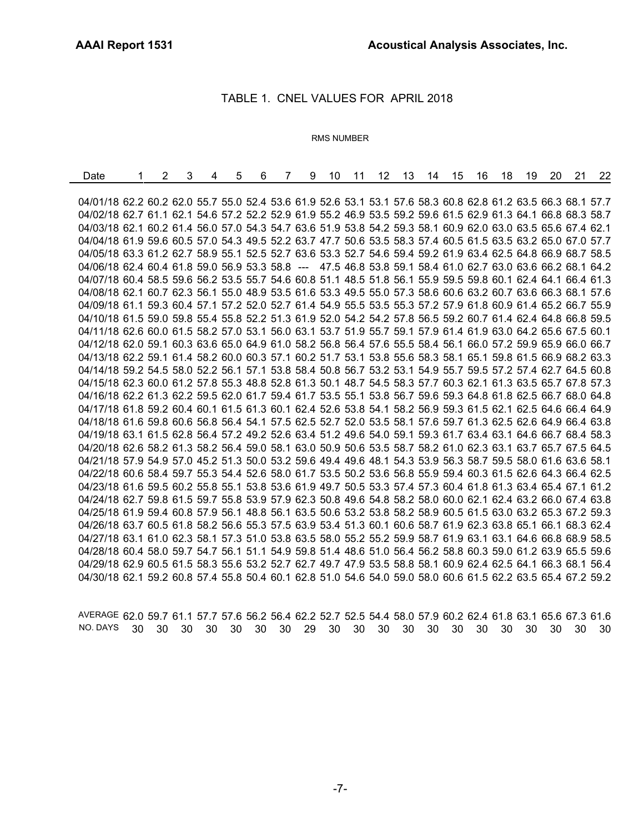#### TABLE 1. CNEL VALUES FOR APRIL 2018

#### RMS NUMBER

| Date                                                                                                         | 2 | 3 | 4 | 5 | 6 | $\overline{7}$ | 9 | 10 | 11 | 12 | 13 14 | 15 | 16 | 18 | 19 | 20 | 21 | 22 |
|--------------------------------------------------------------------------------------------------------------|---|---|---|---|---|----------------|---|----|----|----|-------|----|----|----|----|----|----|----|
|                                                                                                              |   |   |   |   |   |                |   |    |    |    |       |    |    |    |    |    |    |    |
| 04/01/18 62.2 60.2 62.0 55.7 55.0 52.4 53.6 61.9 52.6 53.1 53.1 57.6 58.3 60.8 62.8 61.2 63.5 66.3 68.1 57.7 |   |   |   |   |   |                |   |    |    |    |       |    |    |    |    |    |    |    |
| 04/02/18 62.7 61.1 62.1 54.6 57.2 52.2 52.9 61.9 55.2 46.9 53.5 59.2 59.6 61.5 62.9 61.3 64.1 66.8 68.3 58.7 |   |   |   |   |   |                |   |    |    |    |       |    |    |    |    |    |    |    |
| 04/03/18 62.1 60.2 61.4 56.0 57.0 54.3 54.7 63.6 51.9 53.8 54.2 59.3 58.1 60.9 62.0 63.0 63.5 65.6 67.4 62.1 |   |   |   |   |   |                |   |    |    |    |       |    |    |    |    |    |    |    |
| 04/04/18 61.9 59.6 60.5 57.0 54.3 49.5 52.2 63.7 47.7 50.6 53.5 58.3 57.4 60.5 61.5 63.5 63.2 65.0 67.0 57.7 |   |   |   |   |   |                |   |    |    |    |       |    |    |    |    |    |    |    |
| 04/05/18 63.3 61.2 62.7 58.9 55.1 52.5 52.7 63.6 53.3 52.7 54.6 59.4 59.2 61.9 63.4 62.5 64.8 66.9 68.7 58.5 |   |   |   |   |   |                |   |    |    |    |       |    |    |    |    |    |    |    |
| 04/06/18 62.4 60.4 61.8 59.0 56.9 53.3 58.8 --- 47.5 46.8 53.8 59.1 58.4 61.0 62.7 63.0 63.6 66.2 68.1 64.2  |   |   |   |   |   |                |   |    |    |    |       |    |    |    |    |    |    |    |
| 04/07/18 60.4 58.5 59.6 56.2 53.5 55.7 54.6 60.8 51.1 48.5 51.8 56.1 55.9 59.5 59.8 60.1 62.4 64.1 66.4 61.3 |   |   |   |   |   |                |   |    |    |    |       |    |    |    |    |    |    |    |
| 04/08/18 62.1 60.7 62.3 56.1 55.0 48.9 53.5 61.6 53.3 49.5 55.0 57.3 58.6 60.6 63.2 60.7 63.6 66.3 68.1 57.6 |   |   |   |   |   |                |   |    |    |    |       |    |    |    |    |    |    |    |
| 04/09/18 61.1 59.3 60.4 57.1 57.2 52.0 52.7 61.4 54.9 55.5 53.5 55.3 57.2 57.9 61.8 60.9 61.4 65.2 66.7 55.9 |   |   |   |   |   |                |   |    |    |    |       |    |    |    |    |    |    |    |
| 04/10/18 61.5 59.0 59.8 55.4 55.8 52.2 51.3 61.9 52.0 54.2 54.2 57.8 56.5 59.2 60.7 61.4 62.4 64.8 66.8 59.5 |   |   |   |   |   |                |   |    |    |    |       |    |    |    |    |    |    |    |
| 04/11/18 62.6 60.0 61.5 58.2 57.0 53.1 56.0 63.1 53.7 51.9 55.7 59.1 57.9 61.4 61.9 63.0 64.2 65.6 67.5 60.1 |   |   |   |   |   |                |   |    |    |    |       |    |    |    |    |    |    |    |
| 04/12/18 62.0 59.1 60.3 63.6 65.0 64.9 61.0 58.2 56.8 56.4 57.6 55.5 58.4 56.1 66.0 57.2 59.9 65.9 66.0 66.7 |   |   |   |   |   |                |   |    |    |    |       |    |    |    |    |    |    |    |
| 04/13/18 62.2 59.1 61.4 58.2 60.0 60.3 57.1 60.2 51.7 53.1 53.8 55.6 58.3 58.1 65.1 59.8 61.5 66.9 68.2 63.3 |   |   |   |   |   |                |   |    |    |    |       |    |    |    |    |    |    |    |
| 04/14/18 59.2 54.5 58.0 52.2 56.1 57.1 53.8 58.4 50.8 56.7 53.2 53.1 54.9 55.7 59.5 57.2 57.4 62.7 64.5 60.8 |   |   |   |   |   |                |   |    |    |    |       |    |    |    |    |    |    |    |
| 04/15/18 62.3 60.0 61.2 57.8 55.3 48.8 52.8 61.3 50.1 48.7 54.5 58.3 57.7 60.3 62.1 61.3 63.5 65.7 67.8 57.3 |   |   |   |   |   |                |   |    |    |    |       |    |    |    |    |    |    |    |
| 04/16/18 62.2 61.3 62.2 59.5 62.0 61.7 59.4 61.7 53.5 55.1 53.8 56.7 59.6 59.3 64.8 61.8 62.5 66.7 68.0 64.8 |   |   |   |   |   |                |   |    |    |    |       |    |    |    |    |    |    |    |
| 04/17/18 61.8 59.2 60.4 60.1 61.5 61.3 60.1 62.4 52.6 53.8 54.1 58.2 56.9 59.3 61.5 62.1 62.5 64.6 66.4 64.9 |   |   |   |   |   |                |   |    |    |    |       |    |    |    |    |    |    |    |
| 04/18/18 61.6 59.8 60.6 56.8 56.4 54.1 57.5 62.5 52.7 52.0 53.5 58.1 57.6 59.7 61.3 62.5 62.6 64.9 66.4 63.8 |   |   |   |   |   |                |   |    |    |    |       |    |    |    |    |    |    |    |
| 04/19/18 63.1 61.5 62.8 56.4 57.2 49.2 52.6 63.4 51.2 49.6 54.0 59.1 59.3 61.7 63.4 63.1 64.6 66.7 68.4 58.3 |   |   |   |   |   |                |   |    |    |    |       |    |    |    |    |    |    |    |
| 04/20/18 62.6 58.2 61.3 58.2 56.4 59.0 58.1 63.0 50.9 50.6 53.5 58.7 58.2 61.0 62.3 63.1 63.7 65.7 67.5 64.5 |   |   |   |   |   |                |   |    |    |    |       |    |    |    |    |    |    |    |
| 04/21/18 57.9 54.9 57.0 45.2 51.3 50.0 53.2 59.6 49.4 49.6 48.1 54.3 53.9 56.3 58.7 59.5 58.0 61.6 63.6 58.1 |   |   |   |   |   |                |   |    |    |    |       |    |    |    |    |    |    |    |
| 04/22/18 60.6 58.4 59.7 55.3 54.4 52.6 58.0 61.7 53.5 50.2 53.6 56.8 55.9 59.4 60.3 61.5 62.6 64.3 66.4 62.5 |   |   |   |   |   |                |   |    |    |    |       |    |    |    |    |    |    |    |
| 04/23/18 61.6 59.5 60.2 55.8 55.1 53.8 53.6 61.9 49.7 50.5 53.3 57.4 57.3 60.4 61.8 61.3 63.4 65.4 67.1 61.2 |   |   |   |   |   |                |   |    |    |    |       |    |    |    |    |    |    |    |
| 04/24/18 62.7 59.8 61.5 59.7 55.8 53.9 57.9 62.3 50.8 49.6 54.8 58.2 58.0 60.0 62.1 62.4 63.2 66.0 67.4 63.8 |   |   |   |   |   |                |   |    |    |    |       |    |    |    |    |    |    |    |
| 04/25/18 61.9 59.4 60.8 57.9 56.1 48.8 56.1 63.5 50.6 53.2 53.8 58.2 58.9 60.5 61.5 63.0 63.2 65.3 67.2 59.3 |   |   |   |   |   |                |   |    |    |    |       |    |    |    |    |    |    |    |
| 04/26/18 63.7 60.5 61.8 58.2 56.6 55.3 57.5 63.9 53.4 51.3 60.1 60.6 58.7 61.9 62.3 63.8 65.1 66.1 68.3 62.4 |   |   |   |   |   |                |   |    |    |    |       |    |    |    |    |    |    |    |
| 04/27/18 63.1 61.0 62.3 58.1 57.3 51.0 53.8 63.5 58.0 55.2 55.2 59.9 58.7 61.9 63.1 63.1 64.6 66.8 68.9 58.5 |   |   |   |   |   |                |   |    |    |    |       |    |    |    |    |    |    |    |
| 04/28/18 60.4 58.0 59.7 54.7 56.1 51.1 54.9 59.8 51.4 48.6 51.0 56.4 56.2 58.8 60.3 59.0 61.2 63.9 65.5 59.6 |   |   |   |   |   |                |   |    |    |    |       |    |    |    |    |    |    |    |
| 04/29/18 62.9 60.5 61.5 58.3 55.6 53.2 52.7 62.7 49.7 47.9 53.5 58.8 58.1 60.9 62.4 62.5 64.1 66.3 68.1 56.4 |   |   |   |   |   |                |   |    |    |    |       |    |    |    |    |    |    |    |
| 04/30/18 62.1 59.2 60.8 57.4 55.8 50.4 60.1 62.8 51.0 54.6 54.0 59.0 58.0 60.6 61.5 62.2 63.5 65.4 67.2 59.2 |   |   |   |   |   |                |   |    |    |    |       |    |    |    |    |    |    |    |

AVERAGE 62.0 59.7 61.1 57.7 57.6 56.2 56.4 62.2 52.7 52.5 54.4 58.0 57.9 60.2 62.4 61.8 63.1 65.6 67.3 61.6 NO. DAYS 30 30 30 30 30 30 30 29 30 30 30 30 30 30 30 30 30 30 30 30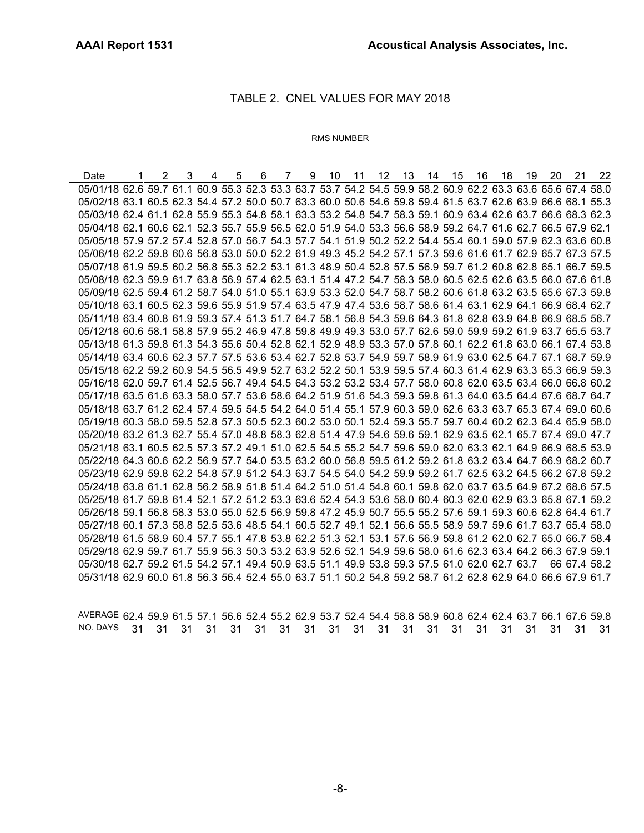### TABLE 2. CNEL VALUES FOR MAY 2018

#### RMS NUMBER

Date 1 2 3 4 5 6 7 9 10 11 12 13 14 15 16 18 19 20 21 22 05/01/18 62.6 59.7 61.1 60.9 55.3 52.3 53.3 63.7 53.7 54.2 54.5 59.9 58.2 60.9 62.2 63.3 63.6 65.6 67.4 58.0 05/02/18 63.1 60.5 62.3 54.4 57.2 50.0 50.7 63.3 60.0 50.6 54.6 59.8 59.4 61.5 63.7 62.6 63.9 66.6 68.1 55.3 05/03/18 62.4 61.1 62.8 55.9 55.3 54.8 58.1 63.3 53.2 54.8 54.7 58.3 59.1 60.9 63.4 62.6 63.7 66.6 68.3 62.3 05/04/18 62.1 60.6 62.1 52.3 55.7 55.9 56.5 62.0 51.9 54.0 53.3 56.6 58.9 59.2 64.7 61.6 62.7 66.5 67.9 62.1 05/05/18 57.9 57.2 57.4 52.8 57.0 56.7 54.3 57.7 54.1 51.9 50.2 52.2 54.4 55.4 60.1 59.0 57.9 62.3 63.6 60.8 05/06/18 62.2 59.8 60.6 56.8 53.0 50.0 52.2 61.9 49.3 45.2 54.2 57.1 57.3 59.6 61.6 61.7 62.9 65.7 67.3 57.5 05/07/18 61.9 59.5 60.2 56.8 55.3 52.2 53.1 61.3 48.9 50.4 52.8 57.5 56.9 59.7 61.2 60.8 62.8 65.1 66.7 59.5 05/08/18 62.3 59.9 61.7 63.8 56.9 57.4 62.5 63.1 51.4 47.2 54.7 58.3 58.0 60.5 62.5 62.6 63.5 66.0 67.6 61.8 05/09/18 62.5 59.4 61.2 58.7 54.0 51.0 55.1 63.9 53.3 52.0 54.7 58.7 58.2 60.6 61.8 63.2 63.5 65.6 67.3 59.8 05/10/18 63.1 60.5 62.3 59.6 55.9 51.9 57.4 63.5 47.9 47.4 53.6 58.7 58.6 61.4 63.1 62.9 64.1 66.9 68.4 62.7 05/11/18 63.4 60.8 61.9 59.3 57.4 51.3 51.7 64.7 58.1 56.8 54.3 59.6 64.3 61.8 62.8 63.9 64.8 66.9 68.5 56.7 05/12/18 60.6 58.1 58.8 57.9 55.2 46.9 47.8 59.8 49.9 49.3 53.0 57.7 62.6 59.0 59.9 59.2 61.9 63.7 65.5 53.7 05/13/18 61.3 59.8 61.3 54.3 55.6 50.4 52.8 62.1 52.9 48.9 53.3 57.0 57.8 60.1 62.2 61.8 63.0 66.1 67.4 53.8 05/14/18 63.4 60.6 62.3 57.7 57.5 53.6 53.4 62.7 52.8 53.7 54.9 59.7 58.9 61.9 63.0 62.5 64.7 67.1 68.7 59.9 05/15/18 62.2 59.2 60.9 54.5 56.5 49.9 52.7 63.2 52.2 50.1 53.9 59.5 57.4 60.3 61.4 62.9 63.3 65.3 66.9 59.3 05/16/18 62.0 59.7 61.4 52.5 56.7 49.4 54.5 64.3 53.2 53.2 53.4 57.7 58.0 60.8 62.0 63.5 63.4 66.0 66.8 60.2 05/17/18 63.5 61.6 63.3 58.0 57.7 53.6 58.6 64.2 51.9 51.6 54.3 59.3 59.8 61.3 64.0 63.5 64.4 67.6 68.7 64.7 05/18/18 63.7 61.2 62.4 57.4 59.5 54.5 54.2 64.0 51.4 55.1 57.9 60.3 59.0 62.6 63.3 63.7 65.3 67.4 69.0 60.6 05/19/18 60.3 58.0 59.5 52.8 57.3 50.5 52.3 60.2 53.0 50.1 52.4 59.3 55.7 59.7 60.4 60.2 62.3 64.4 65.9 58.0 05/20/18 63.2 61.3 62.7 55.4 57.0 48.8 58.3 62.8 51.4 47.9 54.6 59.6 59.1 62.9 63.5 62.1 65.7 67.4 69.0 47.7 05/21/18 63.1 60.5 62.5 57.3 57.2 49.1 51.0 62.5 54.5 55.2 54.7 59.6 59.0 62.0 63.3 62.1 64.9 66.9 68.5 53.9 05/22/18 64.3 60.6 62.2 56.9 57.7 54.0 53.5 63.2 60.0 56.8 59.5 61.2 59.2 61.8 63.2 63.4 64.7 66.9 68.2 60.7 05/23/18 62.9 59.8 62.2 54.8 57.9 51.2 54.3 63.7 54.5 54.0 54.2 59.9 59.2 61.7 62.5 63.2 64.5 66.2 67.8 59.2 05/24/18 63.8 61.1 62.8 56.2 58.9 51.8 51.4 64.2 51.0 51.4 54.8 60.1 59.8 62.0 63.7 63.5 64.9 67.2 68.6 57.5 05/25/18 61.7 59.8 61.4 52.1 57.2 51.2 53.3 63.6 52.4 54.3 53.6 58.0 60.4 60.3 62.0 62.9 63.3 65.8 67.1 59.2 05/26/18 59.1 56.8 58.3 53.0 55.0 52.5 56.9 59.8 47.2 45.9 50.7 55.5 55.2 57.6 59.1 59.3 60.6 62.8 64.4 61.7 05/27/18 60.1 57.3 58.8 52.5 53.6 48.5 54.1 60.5 52.7 49.1 52.1 56.6 55.5 58.9 59.7 59.6 61.7 63.7 65.4 58.0 05/28/18 61.5 58.9 60.4 57.7 55.1 47.8 53.8 62.2 51.3 52.1 53.1 57.6 56.9 59.8 61.2 62.0 62.7 65.0 66.7 58.4 05/29/18 62.9 59.7 61.7 55.9 56.3 50.3 53.2 63.9 52.6 52.1 54.9 59.6 58.0 61.6 62.3 63.4 64.2 66.3 67.9 59.1 05/30/18 62.7 59.2 61.5 54.2 57.1 49.4 50.9 63.5 51.1 49.9 53.8 59.3 57.5 61.0 62.0 62.7 63.7 66 67.4 58.2 05/31/18 62.9 60.0 61.8 56.3 56.4 52.4 55.0 63.7 51.1 50.2 54.8 59.2 58.7 61.2 62.8 62.9 64.0 66.6 67.9 61.7

AVERAGE 62.4 59.9 61.5 57.1 56.6 52.4 55.2 62.9 53.7 52.4 54.4 58.8 58.9 60.8 62.4 62.4 63.7 66.1 67.6 59.8 NO. DAYS 31 31 31 31 31 31 31 31 31 31 31 31 31 31 31 31 31 31 31 31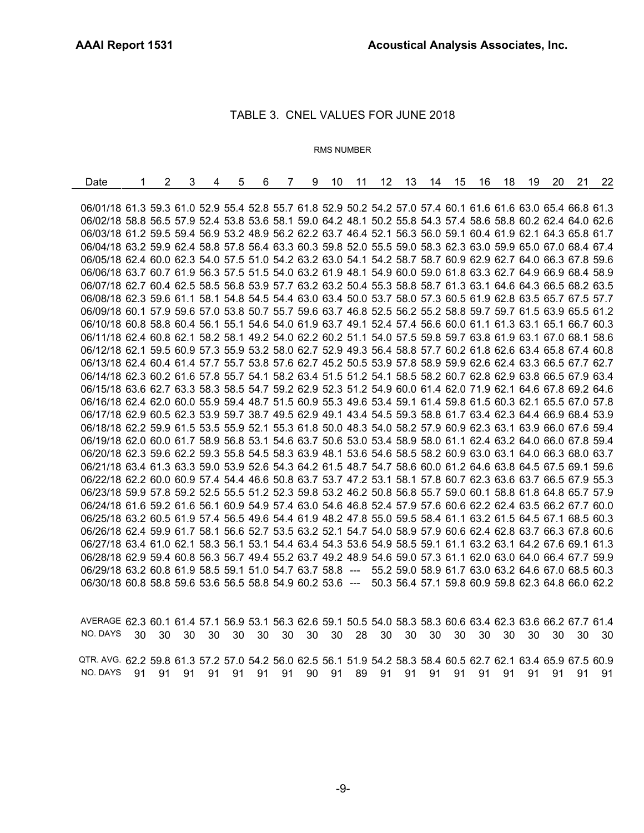## TABLE 3. CNEL VALUES FOR JUNE 2018

#### RMS NUMBER

| Date                                                                                                         | 2 | 3 | 4 | 5 | 6 | 7 | 9 | 10 | 11 | 12 | 13 | 14                                                | 15 | 16 | 18 | 19 | 20 | 21 | 22 |
|--------------------------------------------------------------------------------------------------------------|---|---|---|---|---|---|---|----|----|----|----|---------------------------------------------------|----|----|----|----|----|----|----|
|                                                                                                              |   |   |   |   |   |   |   |    |    |    |    |                                                   |    |    |    |    |    |    |    |
| 06/01/18 61.3 59.3 61.0 52.9 55.4 52.8 55.7 61.8 52.9 50.2 54.2 57.0 57.4 60.1 61.6 61.6 63.0 65.4 66.8 61.3 |   |   |   |   |   |   |   |    |    |    |    |                                                   |    |    |    |    |    |    |    |
| 06/02/18 58.8 56.5 57.9 52.4 53.8 53.6 58.1 59.0 64.2 48.1 50.2 55.8 54.3 57.4 58.6 58.8 60.2 62.4 64.0 62.6 |   |   |   |   |   |   |   |    |    |    |    |                                                   |    |    |    |    |    |    |    |
| 06/03/18 61.2 59.5 59.4 56.9 53.2 48.9 56.2 62.2 63.7 46.4 52.1 56.3 56.0 59.1 60.4 61.9 62.1 64.3 65.8 61.7 |   |   |   |   |   |   |   |    |    |    |    |                                                   |    |    |    |    |    |    |    |
| 06/04/18 63.2 59.9 62.4 58.8 57.8 56.4 63.3 60.3 59.8 52.0 55.5 59.0 58.3 62.3 63.0 59.9 65.0 67.0 68.4 67.4 |   |   |   |   |   |   |   |    |    |    |    |                                                   |    |    |    |    |    |    |    |
| 06/05/18 62.4 60.0 62.3 54.0 57.5 51.0 54.2 63.2 63.0 54.1 54.2 58.7 58.7 60.9 62.9 62.7 64.0 66.3 67.8 59.6 |   |   |   |   |   |   |   |    |    |    |    |                                                   |    |    |    |    |    |    |    |
| 06/06/18 63.7 60.7 61.9 56.3 57.5 51.5 54.0 63.2 61.9 48.1 54.9 60.0 59.0 61.8 63.3 62.7 64.9 66.9 68.4 58.9 |   |   |   |   |   |   |   |    |    |    |    |                                                   |    |    |    |    |    |    |    |
| 06/07/18 62.7 60.4 62.5 58.5 56.8 53.9 57.7 63.2 63.2 50.4 55.3 58.8 58.7 61.3 63.1 64.6 64.3 66.5 68.2 63.5 |   |   |   |   |   |   |   |    |    |    |    |                                                   |    |    |    |    |    |    |    |
| 06/08/18 62.3 59.6 61.1 58.1 54.8 54.5 54.4 63.0 63.4 50.0 53.7 58.0 57.3 60.5 61.9 62.8 63.5 65.7 67.5 57.7 |   |   |   |   |   |   |   |    |    |    |    |                                                   |    |    |    |    |    |    |    |
| 06/09/18 60.1 57.9 59.6 57.0 53.8 50.7 55.7 59.6 63.7 46.8 52.5 56.2 55.2 58.8 59.7 59.7 61.5 63.9 65.5 61.2 |   |   |   |   |   |   |   |    |    |    |    |                                                   |    |    |    |    |    |    |    |
| 06/10/18 60.8 58.8 60.4 56.1 55.1 54.6 54.0 61.9 63.7 49.1 52.4 57.4 56.6 60.0 61.1 61.3 63.1 65.1 66.7 60.3 |   |   |   |   |   |   |   |    |    |    |    |                                                   |    |    |    |    |    |    |    |
| 06/11/18 62.4 60.8 62.1 58.2 58.1 49.2 54.0 62.2 60.2 51.1 54.0 57.5 59.8 59.7 63.8 61.9 63.1 67.0 68.1 58.6 |   |   |   |   |   |   |   |    |    |    |    |                                                   |    |    |    |    |    |    |    |
| 06/12/18 62.1 59.5 60.9 57.3 55.9 53.2 58.0 62.7 52.9 49.3 56.4 58.8 57.7 60.2 61.8 62.6 63.4 65.8 67.4 60.8 |   |   |   |   |   |   |   |    |    |    |    |                                                   |    |    |    |    |    |    |    |
| 06/13/18 62.4 60.4 61.4 57.7 55.7 53.8 57.6 62.7 45.2 50.5 53.9 57.8 58.9 59.9 62.6 62.4 63.3 66.5 67.7 62.7 |   |   |   |   |   |   |   |    |    |    |    |                                                   |    |    |    |    |    |    |    |
| 06/14/18 62.3 60.2 61.6 57.8 55.7 54.1 58.2 63.4 51.5 51.2 54.1 58.5 58.2 60.7 62.8 62.9 63.8 66.5 67.9 63.4 |   |   |   |   |   |   |   |    |    |    |    |                                                   |    |    |    |    |    |    |    |
| 06/15/18 63.6 62.7 63.3 58.3 58.5 54.7 59.2 62.9 52.3 51.2 54.9 60.0 61.4 62.0 71.9 62.1 64.6 67.8 69.2 64.6 |   |   |   |   |   |   |   |    |    |    |    |                                                   |    |    |    |    |    |    |    |
| 06/16/18 62.4 62.0 60.0 55.9 59.4 48.7 51.5 60.9 55.3 49.6 53.4 59.1 61.4 59.8 61.5 60.3 62.1 65.5 67.0 57.8 |   |   |   |   |   |   |   |    |    |    |    |                                                   |    |    |    |    |    |    |    |
| 06/17/18 62.9 60.5 62.3 53.9 59.7 38.7 49.5 62.9 49.1 43.4 54.5 59.3 58.8 61.7 63.4 62.3 64.4 66.9 68.4 53.9 |   |   |   |   |   |   |   |    |    |    |    |                                                   |    |    |    |    |    |    |    |
| 06/18/18 62.2 59.9 61.5 53.5 55.9 52.1 55.3 61.8 50.0 48.3 54.0 58.2 57.9 60.9 62.3 63.1 63.9 66.0 67.6 59.4 |   |   |   |   |   |   |   |    |    |    |    |                                                   |    |    |    |    |    |    |    |
| 06/19/18 62.0 60.0 61.7 58.9 56.8 53.1 54.6 63.7 50.6 53.0 53.4 58.9 58.0 61.1 62.4 63.2 64.0 66.0 67.8 59.4 |   |   |   |   |   |   |   |    |    |    |    |                                                   |    |    |    |    |    |    |    |
| 06/20/18 62.3 59.6 62.2 59.3 55.8 54.5 58.3 63.9 48.1 53.6 54.6 58.5 58.2 60.9 63.0 63.1 64.0 66.3 68.0 63.7 |   |   |   |   |   |   |   |    |    |    |    |                                                   |    |    |    |    |    |    |    |
| 06/21/18 63.4 61.3 63.3 59.0 53.9 52.6 54.3 64.2 61.5 48.7 54.7 58.6 60.0 61.2 64.6 63.8 64.5 67.5 69.1 59.6 |   |   |   |   |   |   |   |    |    |    |    |                                                   |    |    |    |    |    |    |    |
| 06/22/18 62.2 60.0 60.9 57.4 54.4 46.6 50.8 63.7 53.7 47.2 53.1 58.1 57.8 60.7 62.3 63.6 63.7 66.5 67.9 55.3 |   |   |   |   |   |   |   |    |    |    |    |                                                   |    |    |    |    |    |    |    |
| 06/23/18 59.9 57.8 59.2 52.5 55.5 51.2 52.3 59.8 53.2 46.2 50.8 56.8 55.7 59.0 60.1 58.8 61.8 64.8 65.7 57.9 |   |   |   |   |   |   |   |    |    |    |    |                                                   |    |    |    |    |    |    |    |
| 06/24/18 61.6 59.2 61.6 56.1 60.9 54.9 57.4 63.0 54.6 46.8 52.4 57.9 57.6 60.6 62.2 62.4 63.5 66.2 67.7 60.0 |   |   |   |   |   |   |   |    |    |    |    |                                                   |    |    |    |    |    |    |    |
| 06/25/18 63.2 60.5 61.9 57.4 56.5 49.6 54.4 61.9 48.2 47.8 55.0 59.5 58.4 61.1 63.2 61.5 64.5 67.1 68.5 60.3 |   |   |   |   |   |   |   |    |    |    |    |                                                   |    |    |    |    |    |    |    |
| 06/26/18 62.4 59.9 61.7 58.1 56.6 52.7 53.5 63.2 52.1 54.7 54.0 58.9 57.9 60.6 62.4 62.8 63.7 66.3 67.8 60.6 |   |   |   |   |   |   |   |    |    |    |    |                                                   |    |    |    |    |    |    |    |
| 06/27/18 63.4 61.0 62.1 58.3 56.1 53.1 54.4 63.4 54.3 53.6 54.9 58.5 59.1 61.1 63.2 63.1 64.2 67.6 69.1 61.3 |   |   |   |   |   |   |   |    |    |    |    |                                                   |    |    |    |    |    |    |    |
| 06/28/18 62.9 59.4 60.8 56.3 56.7 49.4 55.2 63.7 49.2 48.9 54.6 59.0 57.3 61.1 62.0 63.0 64.0 66.4 67.7 59.9 |   |   |   |   |   |   |   |    |    |    |    |                                                   |    |    |    |    |    |    |    |
| 06/29/18 63.2 60.8 61.9 58.5 59.1 51.0 54.7 63.7 58.8 --- 55.2 59.0 58.9 61.7 63.0 63.2 64.6 67.0 68.5 60.3  |   |   |   |   |   |   |   |    |    |    |    |                                                   |    |    |    |    |    |    |    |
| 06/30/18 60.8 58.8 59.6 53.6 56.5 58.8 54.9 60.2 53.6 ---                                                    |   |   |   |   |   |   |   |    |    |    |    | 50.3 56.4 57.1 59.8 60.9 59.8 62.3 64.8 66.0 62.2 |    |    |    |    |    |    |    |
|                                                                                                              |   |   |   |   |   |   |   |    |    |    |    |                                                   |    |    |    |    |    |    |    |

AVERAGE 62.3 60.1 61.4 57.1 56.9 53.1 56.3 62.6 59.1 50.5 54.0 58.3 58.3 60.6 63.4 62.3 63.6 66.2 67.7 61.4 NO. DAYS 30 30 30 30 30 30 30 30 30 28 30 30 30 30 30 30 30 30 30 30 QTR. AVG. 62.2 59.8 61.3 57.2 57.0 54.2 56.0 62.5 56.1 51.9 54.2 58.3 58.4 60.5 62.7 62.1 63.4 65.9 67.5 60.9 NO. DAYS 91 91 91 91 91 91 91 90 91 89 91 91 91 91 91 91 91 91 91 91

-9-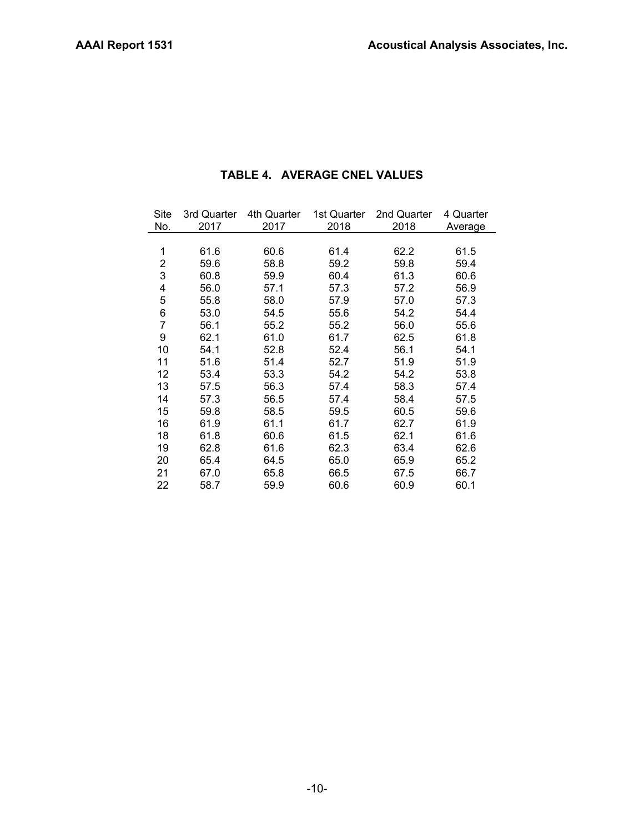| 3rd Quarter | 4th Quarter | 1st Quarter | 2nd Quarter | 4 Quarter |  |
|-------------|-------------|-------------|-------------|-----------|--|
| 2017        | 2017        | 2018        | 2018        | Average   |  |
|             |             |             |             |           |  |
| 61.6        | 60.6        | 61.4        | 62.2        | 61.5      |  |
| 59.6        | 58.8        | 59.2        | 59.8        | 59.4      |  |
| 60.8        | 59.9        | 60.4        | 61.3        | 60.6      |  |
| 56.0        | 57.1        | 57.3        | 57.2        | 56.9      |  |
| 55.8        | 58.0        | 57.9        | 57.0        | 57.3      |  |
| 53.0        | 54.5        | 55.6        | 54.2        | 54.4      |  |
| 56.1        | 55.2        | 55.2        | 56.0        | 55.6      |  |
| 62.1        | 61.0        | 61.7        | 62.5        | 61.8      |  |
| 54.1        | 52.8        | 52.4        | 56.1        | 54.1      |  |
| 51.6        | 51.4        | 52.7        | 51.9        | 51.9      |  |
| 53.4        | 53.3        | 54.2        | 54.2        | 53.8      |  |
| 57.5        | 56.3        | 57.4        | 58.3        | 57.4      |  |
| 57.3        | 56.5        | 57.4        | 58.4        | 57.5      |  |
| 59.8        | 58.5        | 59.5        | 60.5        | 59.6      |  |
| 61.9        | 61.1        | 61.7        | 62.7        | 61.9      |  |
| 61.8        | 60.6        | 61.5        | 62.1        | 61.6      |  |
| 62.8        | 61.6        | 62.3        | 63.4        | 62.6      |  |
| 65.4        | 64.5        | 65.0        | 65.9        | 65.2      |  |
| 67.0        | 65.8        | 66.5        | 67.5        | 66.7      |  |
| 58.7        | 59.9        | 60.6        | 60.9        | 60.1      |  |
|             |             |             |             |           |  |

## **TABLE 4. AVERAGE CNEL VALUES**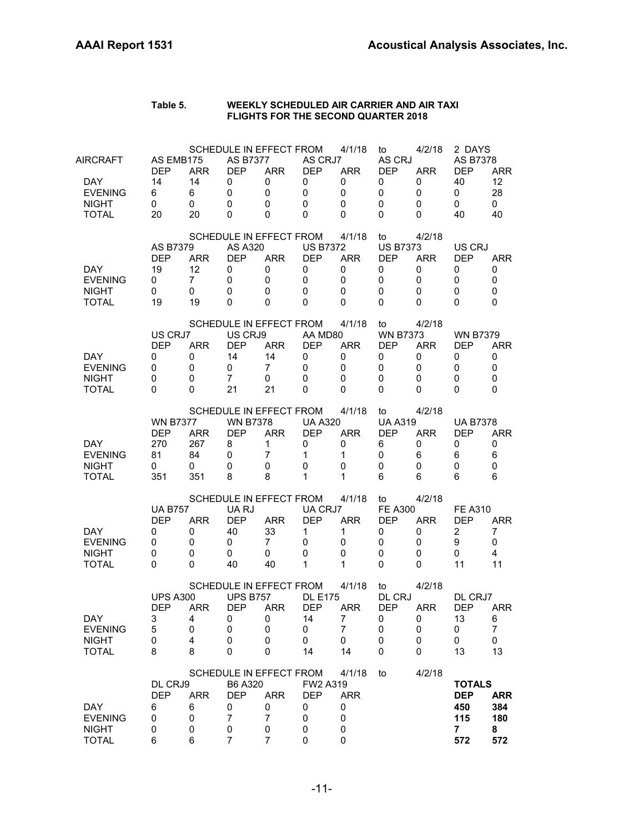| Table 5. | WEEKLY SCHEDULED AIR CARRIER AND AIR TAXI  |
|----------|--------------------------------------------|
|          | <b>FLIGHTS FOR THE SECOND QUARTER 2018</b> |

| AIRCRAFT<br>DAY.<br><b>EVENING</b><br><b>NIGHT</b><br><b>TOTAL</b> | AS EMB175<br><b>DEP</b><br>14<br>6<br>0<br>20          | <b>ARR</b><br>14<br>6<br>0<br>20              | <b>AS B7377</b><br><b>DEP</b><br>0<br>$\mathbf 0$<br>$\mathbf 0$<br>0 | SCHEDULE IN EFFECT FROM<br><b>ARR</b><br>0<br>0<br>0<br>0                                   | AS CRJ7<br><b>DEP</b><br>0<br>0<br>0<br>0                   | 4/1/18<br><b>ARR</b><br>0<br>$\mathbf 0$<br>$\mathbf 0$<br>$\Omega$     | to<br>AS CRJ<br><b>DEP</b><br>0<br>0<br>0<br>0          | 4/2/18<br><b>ARR</b><br>0<br>0<br>0<br>0 | 2 DAYS<br>AS B7378<br><b>DEP</b><br>40<br>0<br>0<br>40         | <b>ARR</b><br>12<br>28<br>$\mathbf 0$<br>40            |
|--------------------------------------------------------------------|--------------------------------------------------------|-----------------------------------------------|-----------------------------------------------------------------------|---------------------------------------------------------------------------------------------|-------------------------------------------------------------|-------------------------------------------------------------------------|---------------------------------------------------------|------------------------------------------|----------------------------------------------------------------|--------------------------------------------------------|
| <b>DAY</b><br><b>EVENING</b><br><b>NIGHT</b><br><b>TOTAL</b>       | <b>AS B7379</b><br><b>DEP</b><br>19<br>0<br>0<br>19    | <b>ARR</b><br>12<br>$\overline{7}$<br>0<br>19 | AS A320<br><b>DFP</b><br>0<br>$\mathbf 0$<br>0<br>0                   | SCHEDULE IN EFFECT FROM<br><b>ARR</b><br>0<br>0<br>0<br>0                                   | <b>US B7372</b><br><b>DEP</b><br>0<br>0<br>0<br>$\Omega$    | 4/1/18<br><b>ARR</b><br>0<br>0<br>0<br>0                                | to<br><b>US B7373</b><br><b>DEP</b><br>0<br>0<br>0<br>0 | 4/2/18<br><b>ARR</b><br>0<br>0<br>0<br>0 | US CRJ<br><b>DEP</b><br>0<br>0<br>0<br>0                       | ARR<br>0<br>$\mathbf 0$<br>$\Omega$<br>$\Omega$        |
| <b>DAY</b><br><b>EVENING</b><br><b>NIGHT</b><br><b>TOTAL</b>       | US CRJ7<br><b>DEP</b><br>0<br>0<br>0<br>$\Omega$       | <b>ARR</b><br>0<br>0<br>0<br>0                | US CRJ9<br><b>DEP</b><br>14<br>0<br>$\overline{7}$<br>21              | SCHEDULE IN EFFECT FROM<br><b>ARR</b><br>14<br>7<br>0<br>21                                 | AA MD80<br><b>DEP</b><br>0<br>0<br>0<br>0                   | 4/1/18<br><b>ARR</b><br>0<br>$\mathbf 0$<br>$\mathbf 0$<br>$\mathbf{0}$ | to<br><b>WN B7373</b><br><b>DEP</b><br>0<br>0<br>0<br>0 | 4/2/18<br><b>ARR</b><br>0<br>0<br>0<br>0 | <b>WN B7379</b><br>DEP<br>0<br>0<br>0<br>0                     | <b>ARR</b><br>0<br>$\mathbf 0$<br>$\Omega$<br>$\Omega$ |
| DAY.<br><b>EVENING</b><br><b>NIGHT</b><br><b>TOTAL</b>             | <b>WN B7377</b><br><b>DFP</b><br>270<br>81<br>0<br>351 | <b>ARR</b><br>267<br>84<br>0<br>351           | <b>WN B7378</b><br><b>DEP</b><br>8<br>0<br>0<br>8                     | SCHEDULE IN EFFECT FROM<br><b>ARR</b><br>$\mathbf{1}$<br>7<br>0<br>8                        | <b>UA A320</b><br><b>DEP</b><br>0<br>$\mathbf{1}$<br>0<br>1 | 4/1/18<br><b>ARR</b><br>0<br>$\mathbf{1}$<br>$\mathbf 0$<br>1           | to<br><b>UA A319</b><br><b>DEP</b><br>6<br>0<br>0<br>6  | 4/2/18<br><b>ARR</b><br>0<br>6<br>0<br>6 | <b>UA B7378</b><br>DEP<br>0<br>6<br>0<br>6                     | ARR<br>0<br>6<br>$\mathbf 0$<br>6                      |
| DAY.<br><b>EVENING</b><br><b>NIGHT</b><br><b>TOTAL</b>             | <b>UA B757</b><br><b>DEP</b><br>0<br>0<br>0<br>0       | <b>ARR</b><br>0<br>0<br>0<br>0                | UA RJ<br><b>DEP</b><br>40<br>0<br>0<br>40                             | SCHEDULE IN EFFECT FROM<br><b>ARR</b><br>33<br>7<br>0<br>40                                 | UA CRJ7<br><b>DEP</b><br>1<br>0<br>0<br>1                   | 4/1/18<br><b>ARR</b><br>1<br>0<br>0<br>1                                | to<br><b>FE A300</b><br><b>DEP</b><br>0<br>0<br>0<br>0  | 4/2/18<br><b>ARR</b><br>0<br>0<br>0<br>0 | <b>FE A310</b><br><b>DEP</b><br>$\overline{2}$<br>9<br>0<br>11 | <b>ARR</b><br>7<br>$\mathbf 0$<br>4<br>11              |
| DAY<br><b>EVENING</b><br><b>NIGHT</b><br><b>TOTAL</b>              | <b>UPS A300</b><br><b>DEP</b><br>3<br>5<br>0<br>8      | <b>ARR</b><br>4<br>0<br>4<br>8                | <b>UPS B757</b><br><b>DEP</b><br>O<br>$\pmb{0}$<br>0<br>0             | SCHEDULE IN EFFECT FROM<br><b>ARR</b><br>O<br>0<br>0<br>0                                   | <b>DL E175</b><br><b>DEP</b><br>14<br>0<br>0<br>14          | 4/1/18<br><b>ARR</b><br>7<br>7<br>0<br>14                               | to<br>DL CRJ<br><b>DEP</b><br>0<br>0<br>0<br>0          | 4/2/18<br><b>ARR</b><br>O<br>0<br>0<br>0 | DL CRJ7<br><b>DEP</b><br>13<br>0<br>0<br>13                    | ARR<br>6<br>$\overline{7}$<br>0<br>13                  |
| <b>DAY</b><br><b>EVENING</b><br><b>NIGHT</b><br><b>TOTAL</b>       | DL CRJ9<br><b>DEP</b><br>6<br>0<br>0<br>6              | <b>ARR</b><br>6<br>0<br>0<br>6                | B6 A320<br><b>DEP</b><br>0<br>$\overline{7}$<br>$\pmb{0}$<br>7        | SCHEDULE IN EFFECT FROM<br><b>ARR</b><br>0<br>$\overline{7}$<br>$\pmb{0}$<br>$\overline{7}$ | FW2 A319<br><b>DEP</b><br>0<br>0<br>0<br>0                  | 4/1/18<br><b>ARR</b><br>0<br>0<br>0<br>0                                | to                                                      | 4/2/18                                   | <b>TOTALS</b><br><b>DEP</b><br>450<br>115<br>7<br>572          | <b>ARR</b><br>384<br>180<br>8<br>572                   |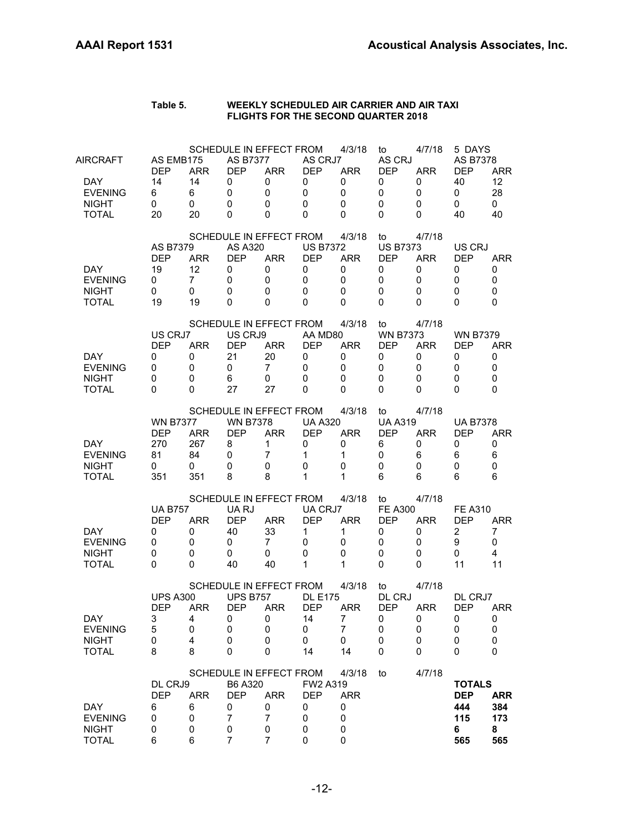| Table 5. | WEEKLY SCHEDULED AIR CARRIER AND AIR TAXI  |
|----------|--------------------------------------------|
|          | <b>FLIGHTS FOR THE SECOND QUARTER 2018</b> |

| AIRCRAFT                     | AS EMB175<br><b>DEP</b> | <b>ARR</b>      | <b>AS B7377</b><br><b>DEP</b> | SCHEDULE IN EFFECT FROM<br><b>ARR</b> | AS CRJ7<br><b>DEP</b> | 4/3/18<br><b>ARR</b> | to<br>AS CRJ<br><b>DEP</b> | 4/7/18<br><b>ARR</b>      | 5 DAYS<br>AS B7378<br><b>DEP</b> | <b>ARR</b>  |  |  |  |
|------------------------------|-------------------------|-----------------|-------------------------------|---------------------------------------|-----------------------|----------------------|----------------------------|---------------------------|----------------------------------|-------------|--|--|--|
| DAY.                         | 14                      | 14              | 0                             | 0                                     | 0                     | 0                    | 0                          | 0                         | 40                               | 12          |  |  |  |
| <b>EVENING</b>               | 6                       | 6               | $\mathbf 0$                   | 0                                     | $\mathbf 0$           | $\mathbf 0$          | 0                          | 0                         | 0                                | 28          |  |  |  |
| <b>NIGHT</b>                 | 0                       | 0               | 0                             | 0                                     | 0                     | 0                    | 0                          | 0                         | 0                                | $\mathbf 0$ |  |  |  |
| <b>TOTAL</b>                 | 20                      | 20              | 0                             | $\Omega$                              | $\Omega$              | $\Omega$             | 0                          | 0                         | 40                               | 40          |  |  |  |
|                              |                         |                 |                               | SCHEDULE IN EFFECT FROM               |                       | 4/3/18               | to                         | 4/7/18                    |                                  |             |  |  |  |
|                              | <b>AS B7379</b>         |                 | AS A320                       |                                       | <b>US B7372</b>       |                      |                            | <b>US B7373</b><br>US CRJ |                                  |             |  |  |  |
|                              | <b>DEP</b>              | <b>ARR</b>      | <b>DEP</b>                    | <b>ARR</b>                            | <b>DEP</b>            | <b>ARR</b>           | <b>DEP</b>                 | <b>ARR</b>                | <b>DEP</b>                       | ARR         |  |  |  |
| DAY.                         | 19                      | 12              | 0                             | 0                                     | 0                     | 0                    | 0                          | 0                         | 0                                | 0           |  |  |  |
| <b>EVENING</b>               | 0                       | $\overline{7}$  | 0                             | 0                                     | 0                     | $\mathbf 0$          | 0                          | 0                         | 0                                | 0           |  |  |  |
| <b>NIGHT</b>                 | 0                       | 0               | 0                             | 0                                     | 0                     | 0                    | 0                          | 0                         | 0                                | 0           |  |  |  |
| <b>TOTAL</b>                 | 19                      | 19              | 0                             | 0                                     | 0                     | 0                    | 0                          | 0                         | 0                                | 0           |  |  |  |
|                              |                         |                 |                               | SCHEDULE IN EFFECT FROM               |                       | 4/3/18               | to                         | 4/7/18                    |                                  |             |  |  |  |
|                              | US CRJ7                 | <b>WN B7373</b> | <b>WN B7379</b>               |                                       |                       |                      |                            |                           |                                  |             |  |  |  |
|                              | <b>DEP</b>              | <b>ARR</b>      | <b>DEP</b>                    | <b>ARR</b>                            | <b>DEP</b>            | <b>ARR</b>           | <b>DEP</b>                 | <b>ARR</b>                | <b>DEP</b>                       | <b>ARR</b>  |  |  |  |
| <b>DAY</b>                   | 0                       | 0               | 21                            | 20                                    | 0                     | 0                    | 0                          | 0                         | 0                                | 0           |  |  |  |
| <b>EVENING</b>               | 0                       | 0               | 0                             | $\overline{7}$                        | 0                     | $\mathbf 0$          | 0                          | 0                         | 0                                | 0           |  |  |  |
| <b>NIGHT</b>                 | 0                       | 0               | 6                             | 0                                     | 0                     | 0                    | 0                          | 0                         | 0                                | $\mathbf 0$ |  |  |  |
| <b>TOTAL</b>                 | 0                       | 0               | 27                            | 27                                    | 0                     | $\mathbf{0}$         | 0                          | 0                         | 0                                | $\Omega$    |  |  |  |
|                              |                         |                 |                               | SCHEDULE IN EFFECT FROM               |                       | 4/3/18               | to                         | 4/7/18                    |                                  |             |  |  |  |
|                              | <b>WN B7377</b>         |                 | <b>WN B7378</b>               |                                       | <b>UA A320</b>        | <b>UA A319</b>       |                            | <b>UA B7378</b>           |                                  |             |  |  |  |
|                              | <b>DEP</b>              | <b>ARR</b>      | <b>DEP</b>                    | <b>ARR</b>                            | <b>DEP</b>            | <b>ARR</b>           | <b>DEP</b>                 | <b>ARR</b>                | <b>DEP</b>                       | <b>ARR</b>  |  |  |  |
| DAY.                         | 270                     | 267             | 8                             | $\mathbf{1}$                          | 0                     | 0                    | 6                          | 0                         | 0                                | 0           |  |  |  |
| <b>EVENING</b>               | 81                      | 84              | 0                             | 7                                     | $\mathbf{1}$          | 1                    | 0                          | 6                         | 6                                | 6           |  |  |  |
| <b>NIGHT</b>                 | 0                       | 0               | 0                             | 0                                     | 0                     | $\mathbf 0$          | 0                          | 0                         | 0                                | $\mathbf 0$ |  |  |  |
| <b>TOTAL</b>                 | 351                     | 351             | 8                             | 8                                     | 1                     | 1                    | 6                          | 6                         | 6                                | 6           |  |  |  |
|                              |                         |                 |                               | SCHEDULE IN EFFECT FROM               |                       | 4/3/18               | to                         | 4/7/18                    |                                  |             |  |  |  |
|                              | <b>UA B757</b>          |                 | UA RJ                         |                                       | UA CRJ7               |                      | <b>FE A300</b>             |                           | <b>FE A310</b>                   |             |  |  |  |
|                              | <b>DEP</b>              | <b>ARR</b>      | <b>DEP</b>                    | <b>ARR</b>                            | <b>DEP</b>            | <b>ARR</b>           | <b>DEP</b>                 | <b>ARR</b>                | <b>DEP</b>                       | <b>ARR</b>  |  |  |  |
| DAY.                         | 0                       | 0               | 40                            | 33                                    | 1                     | 1                    | 0                          | 0                         | 2                                | 7           |  |  |  |
| <b>EVENING</b>               | 0                       | 0               | 0                             | 7                                     | 0                     | 0                    | 0                          | 0                         | 9                                | $\mathbf 0$ |  |  |  |
| <b>NIGHT</b><br><b>TOTAL</b> | 0                       | 0               | 0<br>40                       | 0<br>40                               | 0<br>$\mathbf 1$      | $\mathbf 0$<br>1     | 0<br>0                     | 0                         | 0<br>11                          | 4<br>11     |  |  |  |
|                              | 0                       | 0               |                               |                                       |                       |                      |                            | 0                         |                                  |             |  |  |  |
|                              |                         |                 |                               | SCHEDULE IN EFFECT FROM               |                       | 4/3/18               | to                         | 4/7/18                    |                                  |             |  |  |  |
|                              | <b>UPS A300</b>         |                 | <b>UPS B757</b>               |                                       | <b>DL E175</b>        |                      | DL CRJ                     |                           | DL CRJ7                          |             |  |  |  |
|                              | <b>DEP</b>              | <b>ARR</b>      | <b>DEP</b>                    | <b>ARR</b>                            | <b>DEP</b>            | <b>ARR</b>           | <b>DEP</b>                 | <b>ARR</b>                | <b>DEP</b>                       | <b>ARR</b>  |  |  |  |
| DAY                          | 3                       | 4               | U                             | U                                     | 14                    | <sup>'</sup>         | U                          | U                         | U                                | U           |  |  |  |
| <b>EVENING</b>               | 5                       | 0               | 0                             | 0                                     | 0                     | 7                    | 0                          | 0                         | 0                                | $\pmb{0}$   |  |  |  |
| <b>NIGHT</b>                 | 0<br>8                  | 4<br>8          | 0<br>0                        | 0<br>0                                | 0<br>14               | 0<br>14              | 0<br>0                     | $\pmb{0}$                 | 0<br>0                           | 0<br>0      |  |  |  |
| <b>TOTAL</b>                 |                         |                 |                               |                                       |                       |                      |                            | 0                         |                                  |             |  |  |  |
|                              |                         |                 |                               | SCHEDULE IN EFFECT FROM               |                       | 4/3/18               | to                         | 4/7/18                    |                                  |             |  |  |  |
|                              | DL CRJ9                 |                 | B6 A320                       |                                       | FW2 A319              |                      |                            |                           | <b>TOTALS</b>                    |             |  |  |  |
|                              | <b>DEP</b>              | <b>ARR</b>      | <b>DEP</b>                    | <b>ARR</b>                            | <b>DEP</b>            | <b>ARR</b>           |                            |                           | <b>DEP</b>                       | <b>ARR</b>  |  |  |  |
| <b>DAY</b>                   | 6                       | 6               | 0                             | 0                                     | 0                     | 0                    |                            |                           | 444                              | 384         |  |  |  |
| <b>EVENING</b>               | 0                       | 0               | $\overline{7}$                | 7                                     | 0                     | 0                    |                            |                           | 115                              | 173         |  |  |  |
| <b>NIGHT</b>                 | 0                       | 0               | $\pmb{0}$                     | $\pmb{0}$                             | 0                     | 0                    |                            |                           | 6                                | 8           |  |  |  |
| <b>TOTAL</b>                 | 6                       | 6               | 7                             | $\overline{7}$                        | 0                     | 0                    |                            |                           | 565                              | 565         |  |  |  |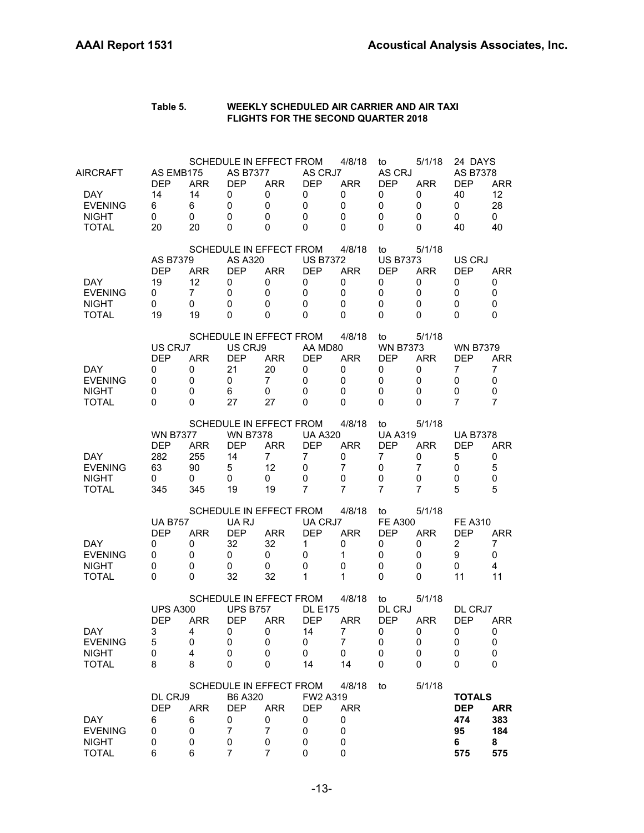| Table 5. | WEEKLY SCHEDULED AIR CARRIER AND AIR TAXI  |
|----------|--------------------------------------------|
|          | <b>FLIGHTS FOR THE SECOND QUARTER 2018</b> |

| AIRCRAFT<br><b>DAY</b><br><b>EVENING</b><br><b>NIGHT</b><br><b>TOTAL</b> | AS EMB175<br><b>DEP</b><br>14<br>6<br>0<br>20          | <b>ARR</b><br>14<br>6<br>0<br>20              | <b>AS B7377</b><br><b>DEP</b><br>0<br>0<br>0<br>0      | SCHEDULE IN EFFECT FROM<br><b>ARR</b><br>0<br>0<br>0<br>$\Omega$                    | AS CRJ7<br>DEP<br>0<br>0<br>0<br>$\Omega$                                  | 4/8/18<br><b>ARR</b><br>0<br>0<br>$\mathbf 0$<br>$\Omega$                | to<br>AS CRJ<br><b>DEP</b><br>0<br>0<br>$\mathbf 0$<br>0            | 5/1/18<br><b>ARR</b><br>0<br>0<br>0<br>0 | 24 DAYS<br><b>AS B7378</b><br><b>DEP</b><br>40<br>0<br>0<br>40 | <b>ARR</b><br>12<br>28<br>$\mathbf 0$<br>40     |
|--------------------------------------------------------------------------|--------------------------------------------------------|-----------------------------------------------|--------------------------------------------------------|-------------------------------------------------------------------------------------|----------------------------------------------------------------------------|--------------------------------------------------------------------------|---------------------------------------------------------------------|------------------------------------------|----------------------------------------------------------------|-------------------------------------------------|
| DAY.<br><b>EVENING</b><br><b>NIGHT</b><br><b>TOTAL</b>                   | AS B7379<br><b>DEP</b><br>19<br>0<br>0<br>19           | <b>ARR</b><br>12<br>$\overline{7}$<br>0<br>19 | <b>AS A320</b><br><b>DEP</b><br>0<br>0<br>0<br>0       | SCHEDULE IN EFFECT FROM<br><b>ARR</b><br>0<br>0<br>0<br>$\Omega$                    | <b>US B7372</b><br><b>DEP</b><br>0<br>0<br>$\Omega$<br>$\Omega$            | 4/8/18<br><b>ARR</b><br>0<br>$\mathbf 0$<br>0<br>$\Omega$                | to<br><b>US B7373</b><br><b>DEP</b><br>0<br>0<br>0<br>0             | 5/1/18<br>ARR<br>0<br>0<br>0<br>0        | US CRJ<br><b>DEP</b><br>0<br>0<br>0<br>$\Omega$                | ARR<br>0<br>0<br>0<br>$\Omega$                  |
| <b>DAY</b><br><b>EVENING</b><br><b>NIGHT</b><br><b>TOTAL</b>             | US CRJ7<br><b>DEP</b><br>0<br>$\Omega$<br>0<br>0       | <b>ARR</b><br>0<br>0<br>0<br>0                | US CRJ9<br><b>DEP</b><br>21<br>0<br>6<br>27            | SCHEDULE IN EFFECT FROM<br><b>ARR</b><br>20<br>$\overline{7}$<br>0<br>27            | AA MD80<br><b>DEP</b><br>0<br>0<br>$\Omega$<br>0                           | 4/8/18<br><b>ARR</b><br>0<br>$\mathbf 0$<br>$\mathbf 0$<br>$\Omega$      | to<br><b>WN B7373</b><br><b>DEP</b><br>0<br>0<br>$\mathbf 0$<br>0   | 5/1/18<br><b>ARR</b><br>0<br>0<br>0<br>0 | <b>WN B7379</b><br><b>DEP</b><br>7<br>0<br>0<br>7              | <b>ARR</b><br>7<br>0<br>0<br>$\overline{7}$     |
| DAY.<br><b>EVENING</b><br><b>NIGHT</b><br><b>TOTAL</b>                   | <b>WN B7377</b><br><b>DEP</b><br>282<br>63<br>0<br>345 | <b>ARR</b><br>255<br>90<br>0<br>345           | <b>WN B7378</b><br><b>DEP</b><br>14<br>5<br>0<br>19    | SCHEDULE IN EFFECT FROM<br><b>ARR</b><br>$\overline{7}$<br>12<br>0<br>19            | <b>UA A320</b><br><b>DEP</b><br>$\overline{7}$<br>0<br>0<br>$\overline{7}$ | 4/8/18<br><b>ARR</b><br>0<br>$\overline{7}$<br>0<br>7                    | to<br><b>UA A319</b><br><b>DEP</b><br>$\overline{7}$<br>0<br>0<br>7 | 5/1/18<br><b>ARR</b><br>0<br>7<br>0<br>7 | <b>UA B7378</b><br><b>DEP</b><br>5<br>0<br>0<br>5              | <b>ARR</b><br>0<br>5<br>$\mathbf 0$<br>5        |
| DAY.<br><b>EVENING</b><br><b>NIGHT</b><br><b>TOTAL</b>                   | <b>UA B757</b><br><b>DEP</b><br>0<br>0<br>0<br>0       | <b>ARR</b><br>0<br>0<br>0<br>0                | UA RJ<br><b>DEP</b><br>32<br>0<br>0<br>32              | SCHEDULE IN EFFECT FROM<br><b>ARR</b><br>32<br>0<br>0<br>32                         | UA CRJ7<br><b>DEP</b><br>$\mathbf{1}$<br>0<br>$\Omega$<br>1                | 4/8/18<br><b>ARR</b><br>0<br>$\mathbf{1}$<br>$\mathbf 0$<br>$\mathbf{1}$ | to<br><b>FE A300</b><br><b>DEP</b><br>0<br>0<br>0<br>0              | 5/1/18<br><b>ARR</b><br>0<br>0<br>0<br>0 | <b>FE A310</b><br><b>DEP</b><br>$\overline{2}$<br>9<br>0<br>11 | ARR<br>$\overline{7}$<br>$\mathbf 0$<br>4<br>11 |
| <b>DAY</b><br><b>EVENING</b><br><b>NIGHT</b><br><b>TOTAL</b>             | <b>UPS A300</b><br><b>DEP</b><br>3<br>5<br>0<br>8      | <b>ARR</b><br>4<br>0<br>4<br>8                | <b>UPS B757</b><br><b>DEP</b><br>0<br>0<br>0<br>0      | SCHEDULE IN EFFECT FROM<br><b>ARR</b><br>0<br>0<br>0<br>0                           | <b>DL E175</b><br><b>DEP</b><br>14<br>0<br>0<br>14                         | 4/8/18<br><b>ARR</b><br>$\overline{7}$<br>7<br>0<br>14                   | to<br>DL CRJ<br><b>DEP</b><br>$\pmb{0}$<br>0<br>0<br>$\mathbf 0$    | 5/1/18<br><b>ARR</b><br>0<br>0<br>0<br>0 | DL CRJ7<br><b>DEP</b><br>0<br>0<br>0<br>0                      | <b>ARR</b><br>0<br>0<br>0<br>0                  |
| <b>DAY</b><br><b>EVENING</b><br><b>NIGHT</b><br><b>TOTAL</b>             | DL CRJ9<br><b>DEP</b><br>6<br>0<br>0<br>6              | <b>ARR</b><br>6<br>0<br>0<br>6                | B6 A320<br><b>DEP</b><br>0<br>7<br>0<br>$\overline{7}$ | SCHEDULE IN EFFECT FROM<br><b>ARR</b><br>0<br>$\overline{7}$<br>0<br>$\overline{7}$ | FW2 A319<br><b>DEP</b><br>0<br>0<br>0<br>0                                 | 4/8/18<br><b>ARR</b><br>0<br>0<br>0<br>$\mathbf 0$                       | to                                                                  | 5/1/18                                   | <b>TOTALS</b><br><b>DEP</b><br>474<br>95<br>6<br>575           | <b>ARR</b><br>383<br>184<br>8<br>575            |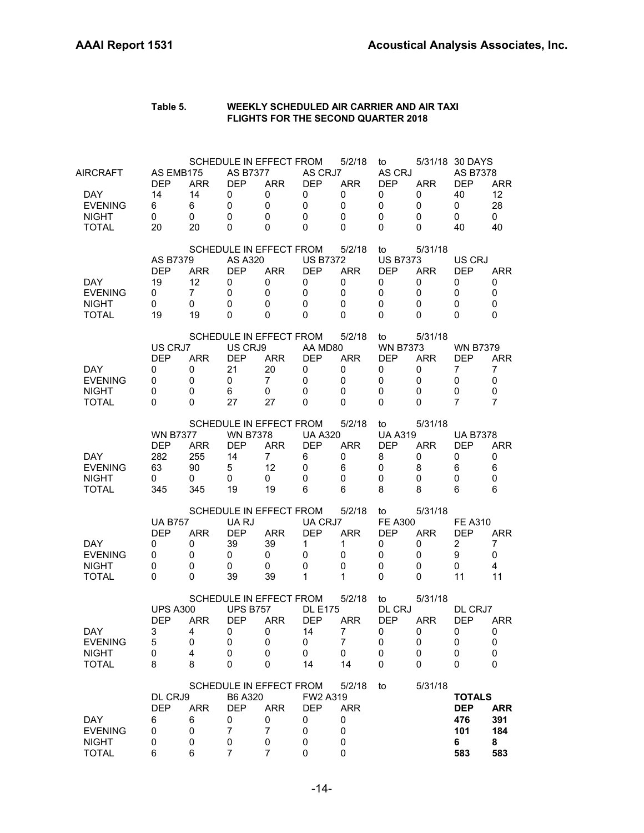| Table 5. | WEEKLY SCHEDULED AIR CARRIER AND AIR TAXI  |
|----------|--------------------------------------------|
|          | <b>FLIGHTS FOR THE SECOND QUARTER 2018</b> |

| AIRCRAFT<br><b>DAY</b><br><b>EVENING</b><br><b>NIGHT</b><br><b>TOTAL</b> | AS EMB175<br><b>DEP</b><br>14<br>6<br>$\mathbf 0$<br>20           | <b>ARR</b><br>14<br>6<br>$\mathbf 0$<br>20    | SCHEDULE IN EFFECT FROM<br><b>AS B7377</b><br>DEP<br>0<br>0<br>$\mathbf 0$<br>0   | <b>ARR</b><br>0<br>0<br>0<br>0                | AS CRJ7<br>DEP<br>0<br>$\mathbf 0$<br>$\mathbf 0$<br>$\Omega$                | 5/2/18<br><b>ARR</b><br>0<br>$\mathbf 0$<br>$\mathbf 0$<br>$\Omega$ | to<br>AS CRJ<br><b>DEP</b><br>0<br>0<br>$\mathbf 0$<br>0         | <b>ARR</b><br>0<br>0<br>0<br>0            | 5/31/18 30 DAYS<br>AS B7378<br><b>DEP</b><br>40<br>0<br>$\Omega$<br>40 | <b>ARR</b><br>12<br>28<br>$\mathbf{0}$<br>40          |
|--------------------------------------------------------------------------|-------------------------------------------------------------------|-----------------------------------------------|-----------------------------------------------------------------------------------|-----------------------------------------------|------------------------------------------------------------------------------|---------------------------------------------------------------------|------------------------------------------------------------------|-------------------------------------------|------------------------------------------------------------------------|-------------------------------------------------------|
| DAY.<br><b>EVENING</b><br><b>NIGHT</b><br><b>TOTAL</b>                   | AS B7379<br><b>DEP</b><br>19<br>0<br>0<br>19                      | <b>ARR</b><br>12<br>$\overline{7}$<br>0<br>19 | SCHEDULE IN EFFECT FROM<br><b>AS A320</b><br><b>DEP</b><br>0<br>0<br>0<br>0       | <b>ARR</b><br>0<br>0<br>0<br>0                | <b>US B7372</b><br><b>DEP</b><br>0<br>$\mathbf 0$<br>$\mathbf 0$<br>$\Omega$ | 5/2/18<br><b>ARR</b><br>0<br>$\mathbf 0$<br>$\mathbf 0$<br>$\Omega$ | to<br><b>US B7373</b><br><b>DEP</b><br>0<br>0<br>0<br>0          | 5/31/18<br><b>ARR</b><br>0<br>0<br>0<br>0 | US CRJ<br><b>DFP</b><br>0<br>0<br>0<br>$\Omega$                        | ARR<br>0<br>$\mathbf 0$<br>0<br>0                     |
| <b>DAY</b><br><b>EVENING</b><br><b>NIGHT</b><br><b>TOTAL</b>             | US CRJ7<br><b>DEP</b><br>0<br>$\mathbf 0$<br>$\Omega$<br>$\Omega$ | <b>ARR</b><br>0<br>0<br>0<br>0                | SCHEDULE IN EFFECT FROM<br>US CRJ9<br><b>DEP</b><br>21<br>0<br>6<br>27            | <b>ARR</b><br>20<br>$\overline{7}$<br>0<br>27 | AA MD80<br><b>DEP</b><br>0<br>$\mathbf 0$<br>0<br>$\Omega$                   | 5/2/18<br><b>ARR</b><br>0<br>$\mathbf 0$<br>$\mathbf 0$<br>$\Omega$ | to<br><b>WN B7373</b><br><b>DEP</b><br>0<br>0<br>0<br>0          | 5/31/18<br><b>ARR</b><br>0<br>0<br>0<br>0 | <b>WN B7379</b><br><b>DEP</b><br>7<br>0<br>0<br>7                      | <b>ARR</b><br>$\overline{7}$<br>$\mathbf 0$<br>0<br>7 |
| DAY.<br><b>EVENING</b><br><b>NIGHT</b><br><b>TOTAL</b>                   | <b>WN B7377</b><br><b>DEP</b><br>282<br>63<br>0<br>345            | <b>ARR</b><br>255<br>90<br>0<br>345           | SCHEDULE IN EFFECT FROM<br><b>WN B7378</b><br><b>DEP</b><br>14<br>5<br>0<br>19    | <b>ARR</b><br>$\overline{7}$<br>12<br>0<br>19 | <b>UA A320</b><br><b>DEP</b><br>6<br>$\mathbf 0$<br>$\Omega$<br>6            | 5/2/18<br><b>ARR</b><br>0<br>6<br>$\mathbf 0$<br>6                  | to<br><b>UA A319</b><br><b>DEP</b><br>8<br>0<br>0<br>8           | 5/31/18<br><b>ARR</b><br>0<br>8<br>0<br>8 | <b>UA B7378</b><br><b>DEP</b><br>0<br>6<br>0<br>6                      | <b>ARR</b><br>0<br>6<br>$\mathbf 0$<br>6              |
| DAY.<br><b>EVENING</b><br><b>NIGHT</b><br><b>TOTAL</b>                   | <b>UA B757</b><br><b>DEP</b><br>0<br>0<br>0<br>$\Omega$           | <b>ARR</b><br>0<br>0<br>0<br>0                | SCHEDULE IN EFFECT FROM<br>UA RJ<br><b>DEP</b><br>39<br>0<br>0<br>39              | <b>ARR</b><br>39<br>0<br>0<br>39              | UA CRJ7<br><b>DEP</b><br>$\mathbf{1}$<br>0<br>$\Omega$<br>1                  | 5/2/18<br><b>ARR</b><br>1<br>0<br>$\mathbf 0$<br>1                  | to<br><b>FE A300</b><br><b>DEP</b><br>0<br>0<br>$\mathbf 0$<br>0 | 5/31/18<br><b>ARR</b><br>0<br>0<br>0<br>0 | <b>FE A310</b><br><b>DEP</b><br>$\overline{2}$<br>9<br>0<br>11         | ARR<br>7<br>0<br>4<br>11                              |
| <b>DAY</b><br><b>EVENING</b><br><b>NIGHT</b><br><b>TOTAL</b>             | <b>UPS A300</b><br><b>DEP</b><br>3<br>5<br>0<br>8                 | <b>ARR</b><br>4<br>0<br>4<br>8                | SCHEDULE IN EFFECT FROM<br><b>UPS B757</b><br><b>DEP</b><br>0<br>0<br>0<br>0      | <b>ARR</b><br>0<br>0<br>0<br>0                | <b>DL E175</b><br><b>DEP</b><br>14<br>0<br>0<br>14                           | 5/2/18<br>ARR<br>7<br>7<br>0<br>14                                  | to<br>DL CRJ<br><b>DEP</b><br>$\pmb{0}$<br>0<br>0<br>$\mathbf 0$ | 5/31/18<br><b>ARR</b><br>0<br>0<br>0<br>0 | DL CRJ7<br><b>DEP</b><br>0<br>0<br>0<br>0                              | <b>ARR</b><br>0<br>0<br>0<br>0                        |
| <b>DAY</b><br><b>EVENING</b><br><b>NIGHT</b><br><b>TOTAL</b>             | DL CRJ9<br><b>DEP</b><br>6<br>0<br>0<br>6                         | <b>ARR</b><br>6<br>0<br>0<br>6                | SCHEDULE IN EFFECT FROM<br>B6 A320<br><b>DEP</b><br>0<br>7<br>0<br>$\overline{7}$ | <b>ARR</b><br>0<br>7<br>0<br>7                | FW2 A319<br><b>DEP</b><br>0<br>0<br>0<br>0                                   | 5/2/18<br><b>ARR</b><br>0<br>0<br>0<br>0                            | to                                                               | 5/31/18                                   | <b>TOTALS</b><br><b>DEP</b><br>476<br>101<br>6<br>583                  | <b>ARR</b><br>391<br>184<br>8<br>583                  |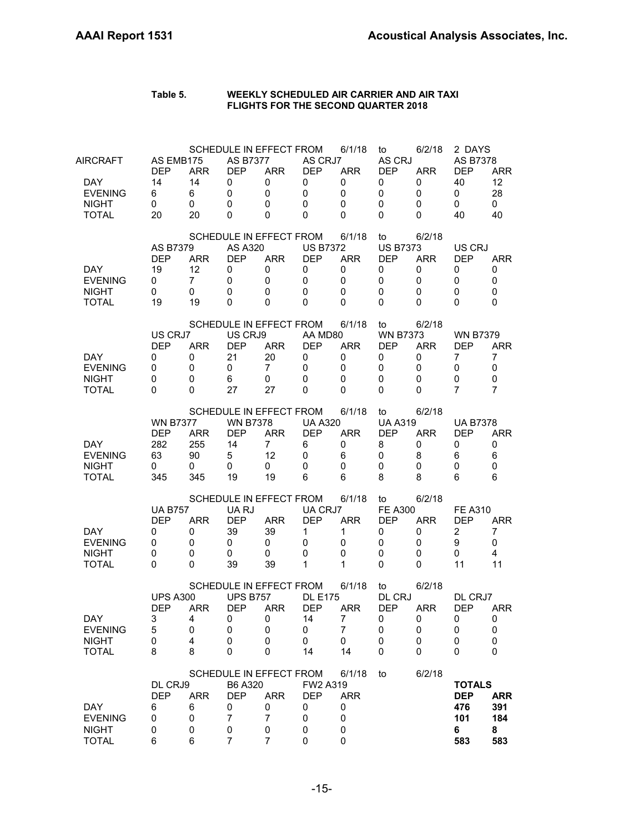| AIRCRAFT<br>DAY.<br><b>EVENING</b><br><b>NIGHT</b><br><b>TOTAL</b> | AS EMB175<br><b>DEP</b><br>14<br>6<br>0<br>20          | <b>ARR</b><br>14<br>6<br>0<br>20              | <b>AS B7377</b><br><b>DEP</b><br>0<br>0<br>0<br>0      | SCHEDULE IN EFFECT FROM<br><b>ARR</b><br>0<br>0<br>0<br>0                | AS CRJ7<br><b>DEP</b><br>0<br>0<br>$\Omega$<br>$\Omega$     | 6/1/18<br><b>ARR</b><br>0<br>$\mathbf 0$<br>$\Omega$<br>$\Omega$ | to<br>AS CRJ<br><b>DEP</b><br>0<br>$\mathbf 0$<br>0<br>0 | 6/2/18<br><b>ARR</b><br>0<br>0<br>0<br>0 | 2 DAYS<br>AS B7378<br><b>DEP</b><br>40<br>0<br>0<br>40         | <b>ARR</b><br>12<br>28<br>$\mathbf 0$<br>40 |
|--------------------------------------------------------------------|--------------------------------------------------------|-----------------------------------------------|--------------------------------------------------------|--------------------------------------------------------------------------|-------------------------------------------------------------|------------------------------------------------------------------|----------------------------------------------------------|------------------------------------------|----------------------------------------------------------------|---------------------------------------------|
| <b>DAY</b><br><b>EVENING</b><br><b>NIGHT</b><br><b>TOTAL</b>       | <b>AS B7379</b><br><b>DFP</b><br>19<br>0<br>0<br>19    | <b>ARR</b><br>12<br>$\overline{7}$<br>0<br>19 | <b>AS A320</b><br><b>DEP</b><br>0<br>0<br>0<br>0       | SCHEDULE IN EFFECT FROM<br><b>ARR</b><br>0<br>0<br>0<br>0                | <b>US B7372</b><br><b>DEP</b><br>0<br>0<br>0<br>$\Omega$    | 6/1/18<br><b>ARR</b><br>0<br>0<br>0<br>$\Omega$                  | to<br><b>US B7373</b><br><b>DFP</b><br>0<br>0<br>0<br>0  | 6/2/18<br><b>ARR</b><br>0<br>0<br>0<br>0 | US CRJ<br><b>DEP</b><br>0<br>0<br>0<br>0                       | ARR<br>0<br>0<br>0<br>0                     |
| DAY.<br><b>EVENING</b><br><b>NIGHT</b><br><b>TOTAL</b>             | US CRJ7<br><b>DEP</b><br>0<br>0<br>0<br>0              | <b>ARR</b><br>0<br>0<br>0<br>0                | US CRJ9<br><b>DEP</b><br>21<br>0<br>6<br>27            | SCHEDULE IN EFFECT FROM<br><b>ARR</b><br>20<br>$\overline{7}$<br>0<br>27 | AA MD80<br><b>DEP</b><br>0<br>0<br>$\mathbf{0}$<br>$\Omega$ | 6/1/18<br><b>ARR</b><br>0<br>0<br>0<br>$\Omega$                  | to<br><b>WN B7373</b><br><b>DEP</b><br>0<br>0<br>0<br>0  | 6/2/18<br><b>ARR</b><br>0<br>0<br>0<br>0 | <b>WN B7379</b><br><b>DEP</b><br>$\overline{7}$<br>0<br>0<br>7 | <b>ARR</b><br>7<br>0<br>0<br>$\overline{7}$ |
| DAY.<br><b>EVENING</b><br><b>NIGHT</b><br><b>TOTAL</b>             | <b>WN B7377</b><br><b>DEP</b><br>282<br>63<br>0<br>345 | <b>ARR</b><br>255<br>90<br>0<br>345           | <b>WN B7378</b><br><b>DEP</b><br>14<br>5<br>0<br>19    | SCHEDULE IN EFFECT FROM<br><b>ARR</b><br>$\overline{7}$<br>12<br>0<br>19 | <b>UA A320</b><br><b>DEP</b><br>6<br>0<br>0<br>6            | 6/1/18<br><b>ARR</b><br>0<br>6<br>0<br>6                         | to<br><b>UA A319</b><br><b>DEP</b><br>8<br>0<br>0<br>8   | 6/2/18<br><b>ARR</b><br>0<br>8<br>0<br>8 | <b>UA B7378</b><br><b>DEP</b><br>0<br>6<br>0<br>6              | <b>ARR</b><br>0<br>6<br>0<br>6              |
| DAY.<br><b>EVENING</b><br><b>NIGHT</b><br><b>TOTAL</b>             | <b>UA B757</b><br><b>DEP</b><br>0<br>0<br>0<br>0       | <b>ARR</b><br>0<br>0<br>0<br>0                | UA RJ<br><b>DEP</b><br>39<br>0<br>0<br>39              | SCHEDULE IN EFFECT FROM<br><b>ARR</b><br>39<br>0<br>0<br>39              | UA CRJ7<br><b>DEP</b><br>1<br>0<br>0<br>1                   | 6/1/18<br><b>ARR</b><br>1<br>0<br>0<br>$\mathbf{1}$              | to<br><b>FE A300</b><br><b>DEP</b><br>0<br>0<br>0<br>0   | 6/2/18<br><b>ARR</b><br>0<br>0<br>0<br>0 | <b>FE A310</b><br><b>DEP</b><br>2<br>9<br>0<br>11              | <b>ARR</b><br>7<br>0<br>4<br>11             |
| DAY<br><b>EVENING</b><br><b>NIGHT</b><br><b>TOTAL</b>              | <b>UPS A300</b><br><b>DEP</b><br>3<br>5<br>0<br>8      | <b>ARR</b><br>4<br>0<br>4<br>8                | <b>UPS B757</b><br><b>DEP</b><br>U<br>0<br>0<br>0      | SCHEDULE IN EFFECT FROM<br><b>ARR</b><br>U<br>0<br>0<br>0                | <b>DL E175</b><br><b>DEP</b><br>14<br>0<br>0<br>14          | 6/1/18<br><b>ARR</b><br>$\prime$<br>7<br>0<br>14                 | to<br>DL CRJ<br><b>DEP</b><br>U<br>0<br>0<br>0           | 6/2/18<br><b>ARR</b><br>U<br>0<br>0<br>0 | DL CRJ7<br><b>DEP</b><br>U<br>0<br>0<br>0                      | <b>ARR</b><br>U<br>0<br>0<br>0              |
| <b>DAY</b><br><b>EVENING</b><br><b>NIGHT</b><br><b>TOTAL</b>       | DL CRJ9<br><b>DEP</b><br>6<br>0<br>0<br>6              | <b>ARR</b><br>6<br>0<br>0<br>6                | B6 A320<br><b>DEP</b><br>0<br>$\overline{7}$<br>0<br>7 | SCHEDULE IN EFFECT FROM<br><b>ARR</b><br>0<br>7<br>0<br>$\overline{7}$   | FW2 A319<br><b>DEP</b><br>0<br>0<br>0<br>0                  | 6/1/18<br><b>ARR</b><br>0<br>0<br>0<br>$\mathbf 0$               | to                                                       | 6/2/18                                   | <b>TOTALS</b><br><b>DEP</b><br>476<br>101<br>6<br>583          | <b>ARR</b><br>391<br>184<br>8<br>583        |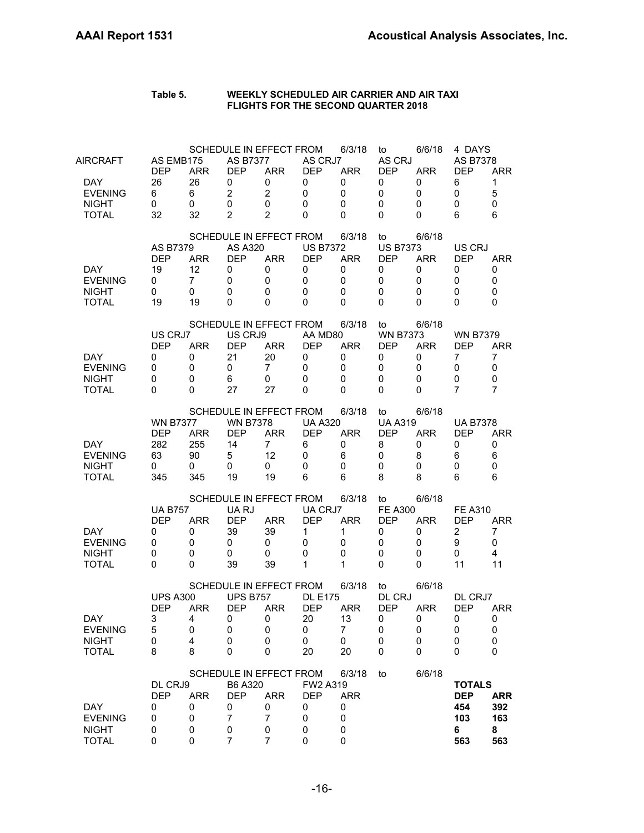| AIRCRAFT<br>DAY.<br><b>EVENING</b><br><b>NIGHT</b>           | AS EMB175<br><b>DEP</b><br>26<br>6<br>0                | <b>ARR</b><br>26<br>6<br>0                    | <b>AS B7377</b><br><b>DEP</b><br>0<br>$\overline{2}$<br>0 | SCHEDULE IN EFFECT FROM<br><b>ARR</b><br>0<br>$\overline{2}$<br>0                   | AS CRJ7<br><b>DEP</b><br>0<br>0<br>0                        | 6/3/18<br><b>ARR</b><br>0<br>0<br>0                       | to<br>AS CRJ<br><b>DEP</b><br>0<br>$\mathbf 0$<br>0                      | 6/6/18<br><b>ARR</b><br>0<br>0<br>0      | 4 DAYS<br><b>AS B7378</b><br><b>DEP</b><br>6<br>0<br>0         | <b>ARR</b><br>$\mathbf{1}$<br>5<br>0        |
|--------------------------------------------------------------|--------------------------------------------------------|-----------------------------------------------|-----------------------------------------------------------|-------------------------------------------------------------------------------------|-------------------------------------------------------------|-----------------------------------------------------------|--------------------------------------------------------------------------|------------------------------------------|----------------------------------------------------------------|---------------------------------------------|
| <b>TOTAL</b>                                                 | 32                                                     | 32                                            | $\overline{2}$                                            | $\overline{2}$                                                                      | $\Omega$                                                    | $\Omega$                                                  | 0                                                                        | 0                                        | 6                                                              | 6                                           |
| <b>DAY</b><br><b>EVENING</b><br><b>NIGHT</b><br><b>TOTAL</b> | AS B7379<br><b>DEP</b><br>19<br>0<br>0<br>19           | <b>ARR</b><br>12<br>$\overline{7}$<br>0<br>19 | AS A320<br><b>DEP</b><br>0<br>0<br>0<br>0                 | SCHEDULE IN EFFECT FROM<br><b>ARR</b><br>0<br>0<br>0<br>0                           | <b>US B7372</b><br><b>DEP</b><br>0<br>0<br>0<br>$\Omega$    | 6/3/18<br><b>ARR</b><br>0<br>$\mathbf 0$<br>0<br>$\Omega$ | to<br><b>US B7373</b><br><b>DEP</b><br>0<br>0<br>$\mathbf 0$<br>$\Omega$ | 6/6/18<br><b>ARR</b><br>0<br>0<br>0<br>0 | US CRJ<br><b>DEP</b><br>0<br>0<br>0<br>0                       | <b>ARR</b><br>0<br>0<br>0<br>$\Omega$       |
| DAY.<br><b>EVENING</b><br><b>NIGHT</b><br><b>TOTAL</b>       | US CRJ7<br><b>DEP</b><br>0<br>0<br>0<br>$\Omega$       | <b>ARR</b><br>0<br>0<br>$\mathbf 0$<br>0      | US CRJ9<br><b>DEP</b><br>21<br>0<br>6<br>27               | SCHEDULE IN EFFECT FROM<br><b>ARR</b><br>20<br>$\overline{7}$<br>0<br>27            | AA MD80<br><b>DEP</b><br>0<br>0<br>0<br>$\Omega$            | 6/3/18<br><b>ARR</b><br>0<br>$\mathbf 0$<br>0<br>0        | to<br><b>WN B7373</b><br><b>DEP</b><br>0<br>0<br>0<br>0                  | 6/6/18<br><b>ARR</b><br>0<br>0<br>0<br>0 | <b>WN B7379</b><br><b>DEP</b><br>7<br>0<br>0<br>7              | <b>ARR</b><br>$\overline{7}$<br>0<br>0<br>7 |
| <b>DAY</b><br><b>EVENING</b><br><b>NIGHT</b><br><b>TOTAL</b> | <b>WN B7377</b><br><b>DEP</b><br>282<br>63<br>0<br>345 | <b>ARR</b><br>255<br>90<br>0<br>345           | <b>WN B7378</b><br><b>DEP</b><br>14<br>5<br>0<br>19       | SCHEDULE IN EFFECT FROM<br><b>ARR</b><br>$\overline{7}$<br>12<br>0<br>19            | <b>UA A320</b><br><b>DEP</b><br>6<br>0<br>$\mathbf{0}$<br>6 | 6/3/18<br><b>ARR</b><br>0<br>6<br>$\mathbf 0$<br>6        | to<br><b>UA A319</b><br><b>DEP</b><br>8<br>0<br>0<br>8                   | 6/6/18<br><b>ARR</b><br>0<br>8<br>0<br>8 | <b>UA B7378</b><br><b>DEP</b><br>0<br>6<br>0<br>6              | <b>ARR</b><br>0<br>6<br>0<br>6              |
| DAY.<br><b>EVENING</b><br><b>NIGHT</b><br><b>TOTAL</b>       | <b>UA B757</b><br><b>DEP</b><br>0<br>0<br>0<br>0       | <b>ARR</b><br>0<br>0<br>0<br>0                | UA RJ<br><b>DEP</b><br>39<br>0<br>0<br>39                 | SCHEDULE IN EFFECT FROM<br><b>ARR</b><br>39<br>0<br>0<br>39                         | UA CRJ7<br><b>DEP</b><br>1<br>0<br>0<br>1                   | 6/3/18<br><b>ARR</b><br>1<br>0<br>0<br>$\mathbf 1$        | to<br><b>FE A300</b><br><b>DEP</b><br>0<br>0<br>0<br>0                   | 6/6/18<br><b>ARR</b><br>0<br>0<br>0<br>0 | <b>FE A310</b><br><b>DEP</b><br>$\overline{2}$<br>9<br>0<br>11 | <b>ARR</b><br>7<br>0<br>4<br>11             |
| DAY<br><b>EVENING</b><br><b>NIGHT</b><br><b>TOTAL</b>        | <b>UPS A300</b><br><b>DEP</b><br>3<br>5<br>0<br>8      | <b>ARR</b><br>4<br>0<br>4<br>8                | <b>UPS B757</b><br><b>DEP</b><br>0<br>$\pmb{0}$<br>0<br>0 | SCHEDULE IN EFFECT FROM<br><b>ARR</b><br>0<br>0<br>0<br>0                           | <b>DL E175</b><br><b>DEP</b><br>20<br>0<br>0<br>20          | 6/3/18<br><b>ARR</b><br>13<br>7<br>0<br>20                | to<br>DL CRJ<br><b>DEP</b><br>0<br>0<br>0<br>0                           | 6/6/18<br><b>ARR</b><br>0<br>0<br>0<br>0 | DL CRJ7<br><b>DEP</b><br>0<br>0<br>0<br>0                      | <b>ARR</b><br>0<br>0<br>0<br>0              |
| <b>DAY</b><br><b>EVENING</b><br><b>NIGHT</b><br><b>TOTAL</b> | DL CRJ9<br><b>DEP</b><br>0<br>0<br>0<br>0              | <b>ARR</b><br>0<br>0<br>0<br>0                | B6 A320<br><b>DEP</b><br>0<br>7<br>0<br>7                 | SCHEDULE IN EFFECT FROM<br><b>ARR</b><br>0<br>$\overline{7}$<br>0<br>$\overline{7}$ | FW2 A319<br><b>DEP</b><br>0<br>0<br>0<br>0                  | 6/3/18<br><b>ARR</b><br>0<br>0<br>0<br>0                  | to                                                                       | 6/6/18                                   | <b>TOTALS</b><br><b>DEP</b><br>454<br>103<br>6<br>563          | <b>ARR</b><br>392<br>163<br>8<br>563        |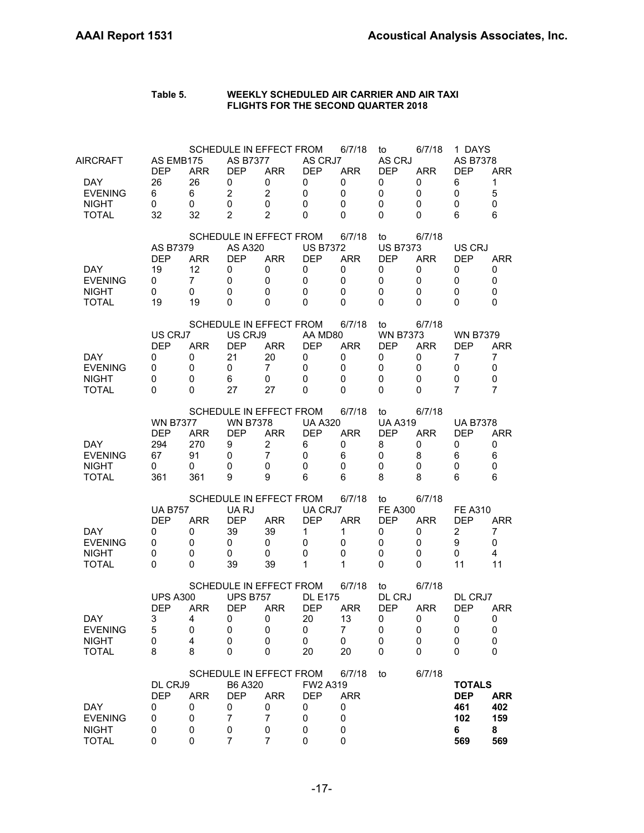| AIRCRAFT<br>DAY.<br><b>EVENING</b><br><b>NIGHT</b><br><b>TOTAL</b> | AS EMB175<br><b>DEP</b><br>26<br>6<br>0<br>32          | <b>ARR</b><br>26<br>6<br>0<br>32              | <b>AS B7377</b><br><b>DEP</b><br>0<br>$\overline{2}$<br>0<br>$\overline{2}$ | SCHEDULE IN EFFECT FROM<br><b>ARR</b><br>0<br>$\overline{2}$<br>0<br>$\overline{2}$ | AS CRJ7<br><b>DEP</b><br>0<br>0<br>0<br>$\Omega$            | 6/7/18<br><b>ARR</b><br>0<br>0<br>0<br>$\Omega$           | to<br>AS CRJ<br><b>DEP</b><br>0<br>0<br>0<br>0                 | 6/7/18<br><b>ARR</b><br>0<br>0<br>0<br>0 | 1 DAYS<br><b>AS B7378</b><br><b>DEP</b><br>6<br>0<br>0<br>6    | <b>ARR</b><br>$\mathbf{1}$<br>5<br>0<br>6   |
|--------------------------------------------------------------------|--------------------------------------------------------|-----------------------------------------------|-----------------------------------------------------------------------------|-------------------------------------------------------------------------------------|-------------------------------------------------------------|-----------------------------------------------------------|----------------------------------------------------------------|------------------------------------------|----------------------------------------------------------------|---------------------------------------------|
| <b>DAY</b><br><b>EVENING</b><br><b>NIGHT</b><br><b>TOTAL</b>       | AS B7379<br><b>DEP</b><br>19<br>0<br>0<br>19           | <b>ARR</b><br>12<br>$\overline{7}$<br>0<br>19 | AS A320<br><b>DEP</b><br>0<br>0<br>0<br>0                                   | SCHEDULE IN EFFECT FROM<br><b>ARR</b><br>0<br>0<br>0<br>0                           | <b>US B7372</b><br><b>DEP</b><br>0<br>0<br>0<br>$\Omega$    | 6/7/18<br><b>ARR</b><br>0<br>$\mathbf 0$<br>0<br>$\Omega$ | to<br><b>US B7373</b><br><b>DEP</b><br>0<br>0<br>0<br>$\Omega$ | 6/7/18<br><b>ARR</b><br>0<br>0<br>0<br>0 | US CRJ<br><b>DEP</b><br>0<br>0<br>0<br>0                       | <b>ARR</b><br>0<br>0<br>0<br>$\Omega$       |
| DAY.<br><b>EVENING</b><br><b>NIGHT</b><br><b>TOTAL</b>             | US CRJ7<br><b>DEP</b><br>0<br>0<br>0<br>$\Omega$       | <b>ARR</b><br>0<br>0<br>$\mathbf 0$<br>0      | US CRJ9<br><b>DEP</b><br>21<br>0<br>6<br>27                                 | SCHEDULE IN EFFECT FROM<br><b>ARR</b><br>20<br>$\overline{7}$<br>0<br>27            | AA MD80<br><b>DEP</b><br>0<br>0<br>0<br>$\Omega$            | 6/7/18<br><b>ARR</b><br>0<br>$\mathbf 0$<br>0<br>0        | to<br><b>WN B7373</b><br><b>DEP</b><br>0<br>0<br>0<br>0        | 6/7/18<br><b>ARR</b><br>0<br>0<br>0<br>0 | <b>WN B7379</b><br><b>DEP</b><br>7<br>0<br>0<br>7              | <b>ARR</b><br>$\overline{7}$<br>0<br>0<br>7 |
| <b>DAY</b><br><b>EVENING</b><br><b>NIGHT</b><br><b>TOTAL</b>       | <b>WN B7377</b><br><b>DFP</b><br>294<br>67<br>0<br>361 | <b>ARR</b><br>270<br>91<br>0<br>361           | <b>WN B7378</b><br><b>DEP</b><br>9<br>0<br>0<br>9                           | SCHEDULE IN EFFECT FROM<br><b>ARR</b><br>$\overline{2}$<br>$\overline{7}$<br>0<br>9 | <b>UA A320</b><br><b>DEP</b><br>6<br>0<br>$\mathbf{0}$<br>6 | 6/7/18<br><b>ARR</b><br>0<br>6<br>$\mathbf 0$<br>6        | to<br><b>UA A319</b><br><b>DEP</b><br>8<br>0<br>0<br>8         | 6/7/18<br><b>ARR</b><br>0<br>8<br>0<br>8 | <b>UA B7378</b><br>DEP<br>0<br>6<br>0<br>6                     | <b>ARR</b><br>0<br>6<br>0<br>6              |
| DAY.<br><b>EVENING</b><br><b>NIGHT</b><br><b>TOTAL</b>             | <b>UA B757</b><br><b>DEP</b><br>0<br>0<br>0<br>0       | <b>ARR</b><br>0<br>0<br>0<br>0                | UA RJ<br><b>DEP</b><br>39<br>0<br>0<br>39                                   | SCHEDULE IN EFFECT FROM<br><b>ARR</b><br>39<br>0<br>0<br>39                         | UA CRJ7<br><b>DEP</b><br>1<br>0<br>0<br>1                   | 6/7/18<br><b>ARR</b><br>1<br>0<br>0<br>$\mathbf 1$        | to<br><b>FE A300</b><br><b>DEP</b><br>0<br>0<br>0<br>0         | 6/7/18<br><b>ARR</b><br>0<br>0<br>0<br>0 | <b>FE A310</b><br><b>DEP</b><br>$\overline{2}$<br>9<br>0<br>11 | <b>ARR</b><br>7<br>0<br>4<br>11             |
| DAY<br><b>EVENING</b><br><b>NIGHT</b><br><b>TOTAL</b>              | <b>UPS A300</b><br><b>DEP</b><br>3<br>5<br>0<br>8      | <b>ARR</b><br>4<br>0<br>4<br>8                | <b>UPS B757</b><br><b>DEP</b><br>0<br>0<br>0<br>0                           | SCHEDULE IN EFFECT FROM<br><b>ARR</b><br>0<br>0<br>0<br>0                           | <b>DL E175</b><br><b>DEP</b><br>20<br>0<br>0<br>20          | 6/7/18<br><b>ARR</b><br>13<br>7<br>0<br>20                | to<br>DL CRJ<br><b>DEP</b><br>0<br>0<br>0<br>0                 | 6/7/18<br><b>ARR</b><br>0<br>0<br>0<br>0 | DL CRJ7<br><b>DEP</b><br>0<br>0<br>0<br>0                      | <b>ARR</b><br>0<br>0<br>0<br>0              |
| <b>DAY</b><br><b>EVENING</b><br><b>NIGHT</b><br><b>TOTAL</b>       | DL CRJ9<br><b>DEP</b><br>0<br>0<br>0<br>0              | <b>ARR</b><br>0<br>0<br>0<br>0                | B6 A320<br><b>DEP</b><br>0<br>7<br>0<br>7                                   | SCHEDULE IN EFFECT FROM<br><b>ARR</b><br>0<br>$\overline{7}$<br>0<br>$\overline{7}$ | FW2 A319<br><b>DEP</b><br>0<br>0<br>0<br>$\mathbf 0$        | 6/7/18<br><b>ARR</b><br>0<br>0<br>0<br>0                  | to                                                             | 6/7/18                                   | <b>TOTALS</b><br><b>DEP</b><br>461<br>102<br>6<br>569          | <b>ARR</b><br>402<br>159<br>8<br>569        |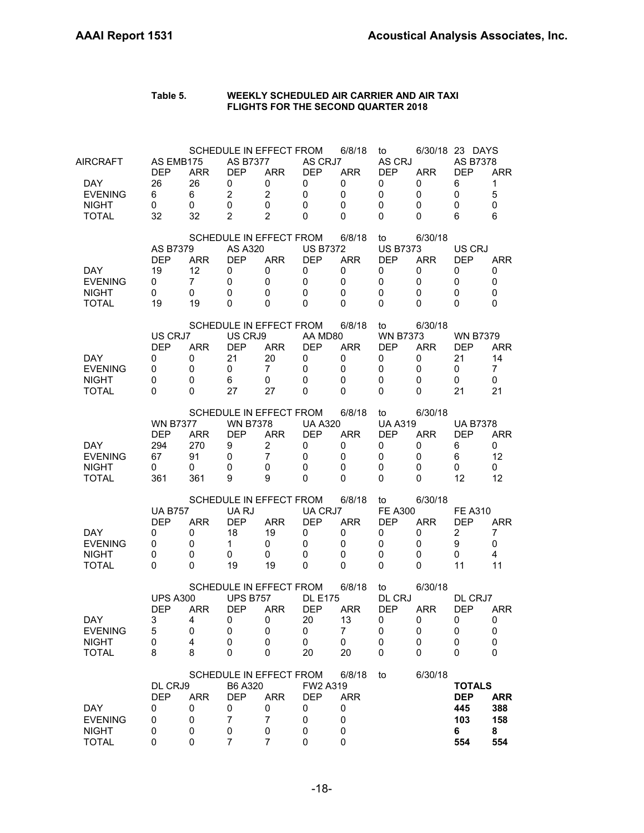| <b>DAY</b><br><b>EVENING</b><br><b>NIGHT</b><br><b>TOTAL</b>       | DL CRJ9<br><b>DEP</b><br>0<br>0<br>0<br>0              | <b>ARR</b><br>0<br>0<br>0<br>0                | B6 A320<br><b>DEP</b><br>0<br>7<br>0<br>7                                             | SCHEDULE IN EFFECT FROM<br><b>ARR</b><br>0<br>$\overline{7}$<br>0<br>7              | FW2 A319<br><b>DEP</b><br>0<br>0<br>0<br>0                      | 6/8/18<br><b>ARR</b><br>0<br>0<br>0<br>0                  | to                                                      | 6/30/18                                   | <b>TOTALS</b><br><b>DEP</b><br>445<br>103<br>6<br>554          | <b>ARR</b><br>388<br>158<br>8<br>554         |
|--------------------------------------------------------------------|--------------------------------------------------------|-----------------------------------------------|---------------------------------------------------------------------------------------|-------------------------------------------------------------------------------------|-----------------------------------------------------------------|-----------------------------------------------------------|---------------------------------------------------------|-------------------------------------------|----------------------------------------------------------------|----------------------------------------------|
| DAY<br><b>EVENING</b><br><b>NIGHT</b><br><b>TOTAL</b>              | <b>UPS A300</b><br><b>DEP</b><br>3<br>5<br>0<br>8      | ARR<br>4<br>0<br>4<br>8                       | <b>UPS B757</b><br><b>DEP</b><br>0<br>0<br>0<br>0                                     | SCHEDULE IN EFFECT FROM<br><b>ARR</b><br>0<br>0<br>0<br>0                           | <b>DL E175</b><br><b>DEP</b><br>20<br>0<br>0<br>20              | 6/8/18<br><b>ARR</b><br>13<br>7<br>0<br>20                | to<br>DL CRJ<br><b>DEP</b><br>O<br>0<br>0<br>0          | 6/30/18<br><b>ARR</b><br>0<br>0<br>0<br>0 | DL CRJ7<br><b>DEP</b><br>0<br>0<br>0<br>0                      | <b>ARR</b><br>0<br>0<br>0<br>0               |
| DAY.<br><b>EVENING</b><br><b>NIGHT</b><br><b>TOTAL</b>             | <b>UA B757</b><br><b>DEP</b><br>0<br>0<br>0<br>0       | <b>ARR</b><br>0<br>0<br>0<br>0                | UA RJ<br><b>DEP</b><br>18<br>1.<br>0<br>19                                            | SCHEDULE IN EFFECT FROM<br><b>ARR</b><br>19<br>0<br>0<br>19                         | UA CRJ7<br><b>DEP</b><br>0<br>0<br>0<br>0                       | 6/8/18<br><b>ARR</b><br>0<br>0<br>0<br>0                  | to<br><b>FE A300</b><br><b>DEP</b><br>0<br>0<br>0<br>0  | 6/30/18<br><b>ARR</b><br>0<br>0<br>0<br>0 | <b>FE A310</b><br><b>DEP</b><br>$\overline{c}$<br>9<br>0<br>11 | <b>ARR</b><br>7<br>0<br>$\overline{4}$<br>11 |
| DAY.<br><b>EVENING</b><br><b>NIGHT</b><br><b>TOTAL</b>             | <b>WN B7377</b><br><b>DEP</b><br>294<br>67<br>0<br>361 | <b>ARR</b><br>270<br>91<br>0<br>361           | <b>WN B7378</b><br><b>DEP</b><br>9<br>0<br>0<br>9                                     | SCHEDULE IN EFFECT FROM<br><b>ARR</b><br>$\overline{c}$<br>$\overline{7}$<br>0<br>9 | <b>UA A320</b><br><b>DEP</b><br>0<br>0<br>$\mathbf 0$<br>0      | 6/8/18<br>ARR<br>0<br>0<br>0<br>0                         | to<br><b>UA A319</b><br><b>DEP</b><br>0<br>0<br>0<br>0  | 6/30/18<br><b>ARR</b><br>0<br>0<br>0<br>0 | <b>UA B7378</b><br>DEP<br>6<br>6<br>0<br>12                    | <b>ARR</b><br>0<br>12<br>0<br>12             |
| <b>DAY</b><br><b>EVENING</b><br><b>NIGHT</b><br><b>TOTAL</b>       | US CRJ7<br><b>DEP</b><br>0<br>0<br>0<br>0              | <b>ARR</b><br>0<br>0<br>0<br>0                | US CRJ9<br><b>DEP</b><br>21<br>0<br>6<br>27                                           | SCHEDULE IN EFFECT FROM<br><b>ARR</b><br>20<br>$\overline{7}$<br>0<br>27            | AA MD80<br><b>DEP</b><br>0<br>0<br>$\Omega$<br>0                | 6/8/18<br><b>ARR</b><br>0<br>0<br>0<br>0                  | to<br><b>WN B7373</b><br><b>DEP</b><br>0<br>0<br>0<br>0 | 6/30/18<br><b>ARR</b><br>0<br>0<br>0<br>0 | <b>WN B7379</b><br>DEP<br>21<br>0<br>0<br>21                   | <b>ARR</b><br>14<br>7<br>0<br>21             |
| <b>DAY</b><br><b>EVENING</b><br><b>NIGHT</b><br><b>TOTAL</b>       | AS B7379<br><b>DEP</b><br>19<br>0<br>0<br>19           | <b>ARR</b><br>12<br>$\overline{7}$<br>0<br>19 | <b>AS A320</b><br><b>DEP</b><br>0<br>0<br>0<br>0                                      | SCHEDULE IN EFFECT FROM<br><b>ARR</b><br>0<br>0<br>0<br>0                           | <b>US B7372</b><br><b>DEP</b><br>0<br>$\Omega$<br>0<br>$\Omega$ | 6/8/18<br><b>ARR</b><br>0<br>$\mathbf 0$<br>$\Omega$<br>0 | to<br><b>US B7373</b><br><b>DEP</b><br>0<br>0<br>0<br>0 | 6/30/18<br><b>ARR</b><br>0<br>0<br>0<br>0 | US CRJ<br><b>DEP</b><br>0<br>0<br>0<br>0                       | <b>ARR</b><br>0<br>0<br>0<br>0               |
| AIRCRAFT<br>DAY.<br><b>EVENING</b><br><b>NIGHT</b><br><b>TOTAL</b> | AS EMB175<br><b>DEP</b><br>26<br>6<br>0<br>32          | <b>ARR</b><br>26<br>6<br>0<br>32              | <b>AS B7377</b><br><b>DEP</b><br>0<br>$\overline{c}$<br>$\mathbf 0$<br>$\overline{2}$ | SCHEDULE IN EFFECT FROM<br><b>ARR</b><br>0<br>$\overline{2}$<br>0<br>$\mathcal{P}$  | AS CRJ7<br><b>DEP</b><br>0<br>0<br>0<br>$\Omega$                | 6/8/18<br><b>ARR</b><br>0<br>0<br>$\mathbf 0$<br>$\Omega$ | to<br>AS CRJ<br><b>DEP</b><br>0<br>0<br>0<br>0          | <b>ARR</b><br>0<br>0<br>0<br>0            | 6/30/18 23 DAYS<br>AS B7378<br><b>DEP</b><br>6<br>0<br>0<br>6  | <b>ARR</b><br>1<br>5<br>$\mathbf 0$<br>6     |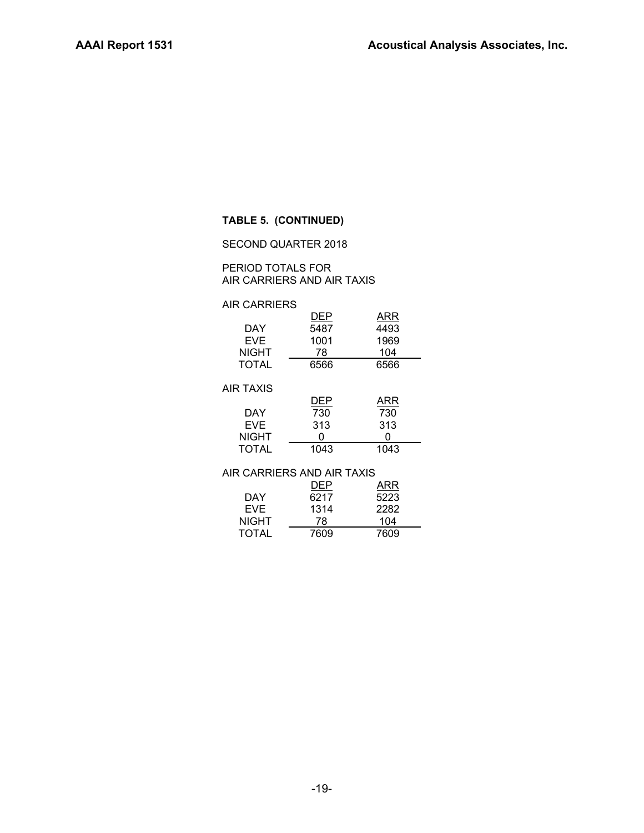### **TABLE 5. (CONTINUED)**

#### SECOND QUARTER 2018

#### PERIOD TOTALS FOR AIR CARRIERS AND AIR TAXIS

#### AIR CARRIERS

|              | DEP  | ARR  |
|--------------|------|------|
| DAY          | 5487 | 4493 |
| <b>FVF</b>   | 1001 | 1969 |
| <b>NIGHT</b> | 78   | 104  |
| TOTAL        | 6566 | 6566 |

#### AIR TAXIS

|              | DEP  | ARR  |
|--------------|------|------|
| DAY          | 730  | 730  |
| EVF.         | 313  | 313  |
| NIGHT        | 0    | 0    |
| <b>TOTAL</b> | 1043 | 1043 |

#### AIR CARRIERS AND AIR TAXIS

|              | DEP  | ARR  |
|--------------|------|------|
| DAY          | 6217 | 5223 |
| <b>EVF</b>   | 1314 | 2282 |
| <b>NIGHT</b> | 78   | 104  |
| <b>TOTAL</b> | 7609 | 7609 |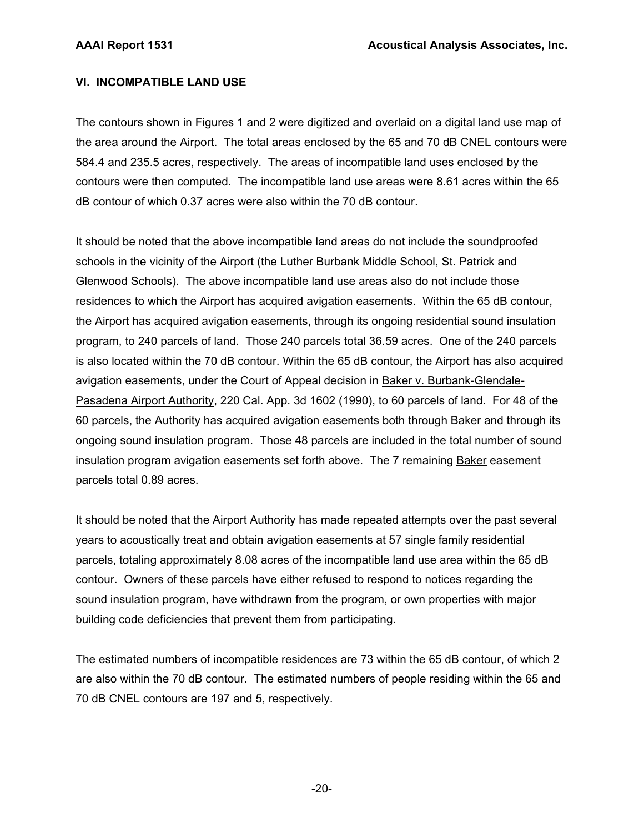## **VI. INCOMPATIBLE LAND USE**

The contours shown in Figures 1 and 2 were digitized and overlaid on a digital land use map of the area around the Airport. The total areas enclosed by the 65 and 70 dB CNEL contours were 584.4 and 235.5 acres, respectively. The areas of incompatible land uses enclosed by the contours were then computed. The incompatible land use areas were 8.61 acres within the 65 dB contour of which 0.37 acres were also within the 70 dB contour.

It should be noted that the above incompatible land areas do not include the soundproofed schools in the vicinity of the Airport (the Luther Burbank Middle School, St. Patrick and Glenwood Schools). The above incompatible land use areas also do not include those residences to which the Airport has acquired avigation easements. Within the 65 dB contour, the Airport has acquired avigation easements, through its ongoing residential sound insulation program, to 240 parcels of land. Those 240 parcels total 36.59 acres. One of the 240 parcels is also located within the 70 dB contour. Within the 65 dB contour, the Airport has also acquired avigation easements, under the Court of Appeal decision in Baker v. Burbank-Glendale-Pasadena Airport Authority, 220 Cal. App. 3d 1602 (1990), to 60 parcels of land. For 48 of the 60 parcels, the Authority has acquired avigation easements both through Baker and through its ongoing sound insulation program. Those 48 parcels are included in the total number of sound insulation program avigation easements set forth above. The 7 remaining Baker easement parcels total 0.89 acres.

It should be noted that the Airport Authority has made repeated attempts over the past several years to acoustically treat and obtain avigation easements at 57 single family residential parcels, totaling approximately 8.08 acres of the incompatible land use area within the 65 dB contour. Owners of these parcels have either refused to respond to notices regarding the sound insulation program, have withdrawn from the program, or own properties with major building code deficiencies that prevent them from participating.

The estimated numbers of incompatible residences are 73 within the 65 dB contour, of which 2 are also within the 70 dB contour. The estimated numbers of people residing within the 65 and 70 dB CNEL contours are 197 and 5, respectively.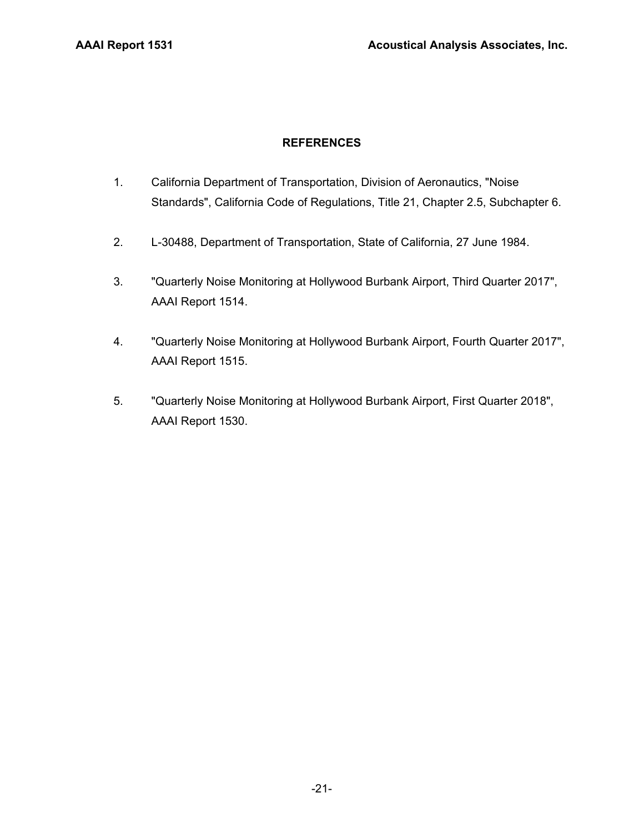## **REFERENCES**

- 1. California Department of Transportation, Division of Aeronautics, "Noise Standards", California Code of Regulations, Title 21, Chapter 2.5, Subchapter 6.
- 2. L-30488, Department of Transportation, State of California, 27 June 1984.
- 3. "Quarterly Noise Monitoring at Hollywood Burbank Airport, Third Quarter 2017", AAAI Report 1514.
- 4. "Quarterly Noise Monitoring at Hollywood Burbank Airport, Fourth Quarter 2017", AAAI Report 1515.
- 5. "Quarterly Noise Monitoring at Hollywood Burbank Airport, First Quarter 2018", AAAI Report 1530.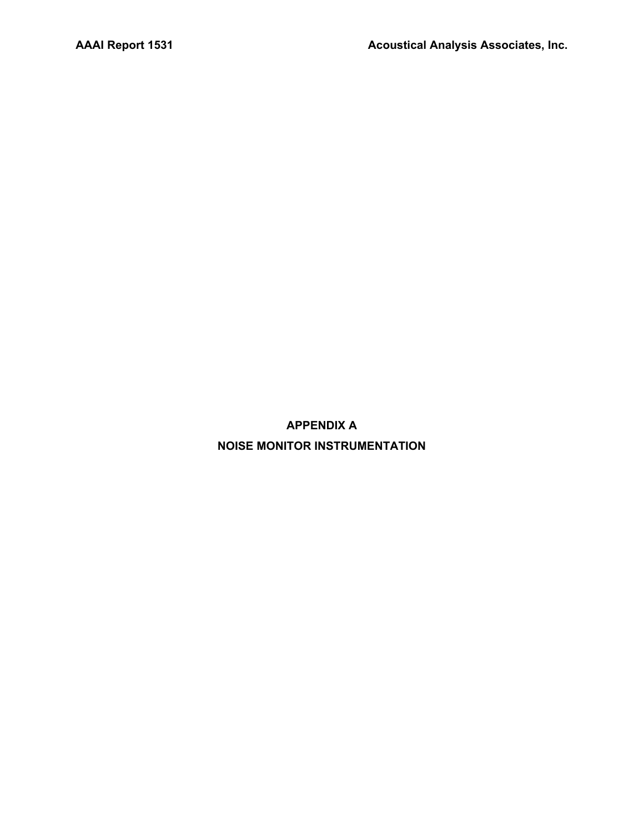**APPENDIX A NOISE MONITOR INSTRUMENTATION**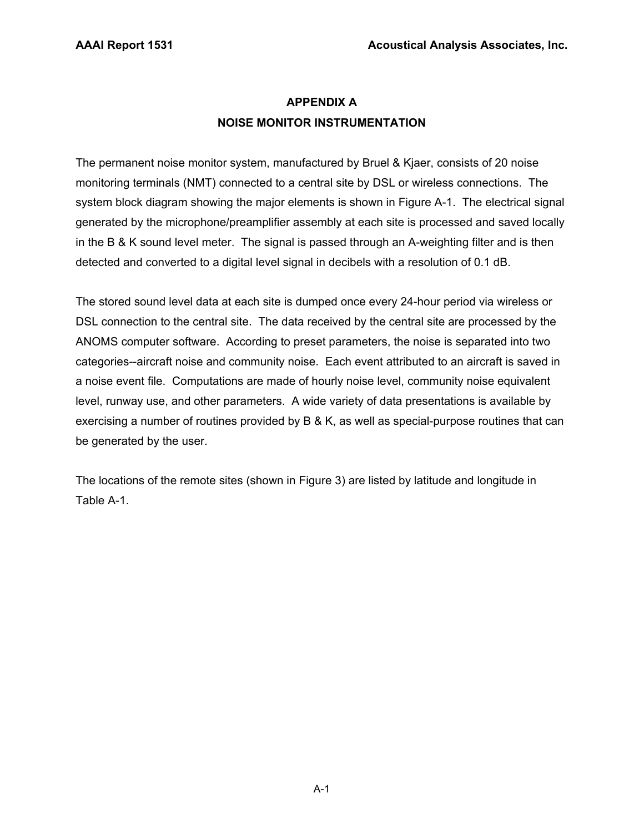## **APPENDIX A NOISE MONITOR INSTRUMENTATION**

The permanent noise monitor system, manufactured by Bruel & Kjaer, consists of 20 noise monitoring terminals (NMT) connected to a central site by DSL or wireless connections. The system block diagram showing the major elements is shown in Figure A-1. The electrical signal generated by the microphone/preamplifier assembly at each site is processed and saved locally in the B & K sound level meter. The signal is passed through an A-weighting filter and is then detected and converted to a digital level signal in decibels with a resolution of 0.1 dB.

The stored sound level data at each site is dumped once every 24-hour period via wireless or DSL connection to the central site. The data received by the central site are processed by the ANOMS computer software. According to preset parameters, the noise is separated into two categories--aircraft noise and community noise. Each event attributed to an aircraft is saved in a noise event file. Computations are made of hourly noise level, community noise equivalent level, runway use, and other parameters. A wide variety of data presentations is available by exercising a number of routines provided by B & K, as well as special-purpose routines that can be generated by the user.

The locations of the remote sites (shown in Figure 3) are listed by latitude and longitude in Table A-1.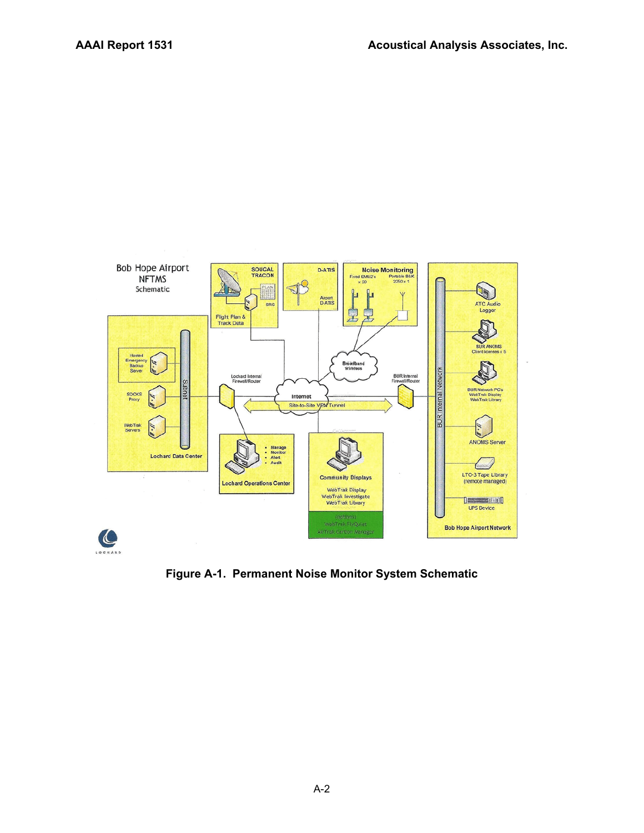

**Figure A-1. Permanent Noise Monitor System Schematic**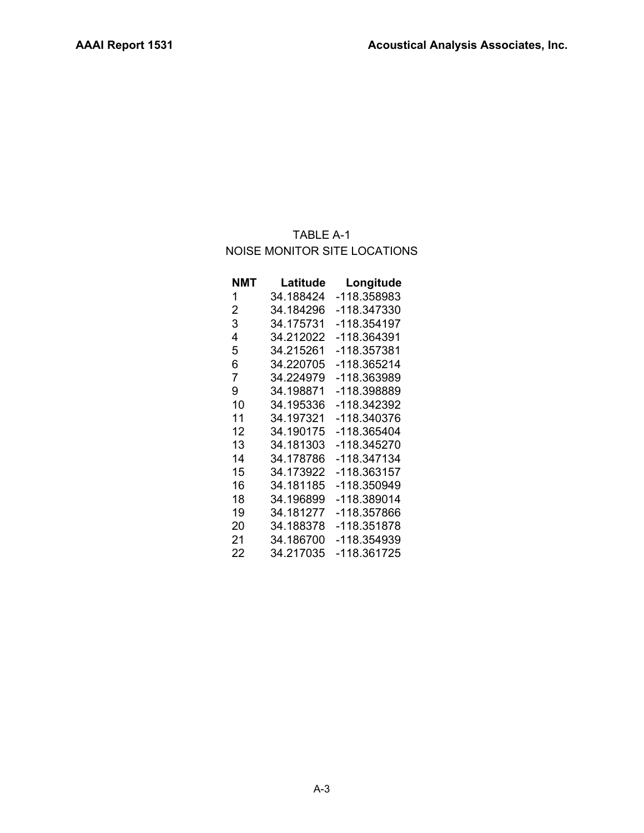## TABLE A-1 NOISE MONITOR SITE LOCATIONS

| NMT | Latitude  | Longitude   |
|-----|-----------|-------------|
| 1   | 34.188424 | -118.358983 |
| 2   | 34.184296 | -118.347330 |
| 3   | 34.175731 | -118.354197 |
| 4   | 34.212022 | -118.364391 |
| 5   | 34.215261 | -118.357381 |
| 6   | 34.220705 | -118.365214 |
| 7   | 34.224979 | -118.363989 |
| 9   | 34.198871 | -118.398889 |
| 10  | 34.195336 | -118.342392 |
| 11  | 34.197321 | -118.340376 |
| 12  | 34.190175 | -118.365404 |
| 13  | 34.181303 | -118.345270 |
| 14  | 34.178786 | -118.347134 |
| 15  | 34.173922 | -118.363157 |
| 16  | 34.181185 | -118.350949 |
| 18  | 34.196899 | -118.389014 |
| 19  | 34.181277 | -118.357866 |
| 20  | 34.188378 | -118.351878 |
| 21  | 34.186700 | -118.354939 |
| 22  | 34.217035 | -118.361725 |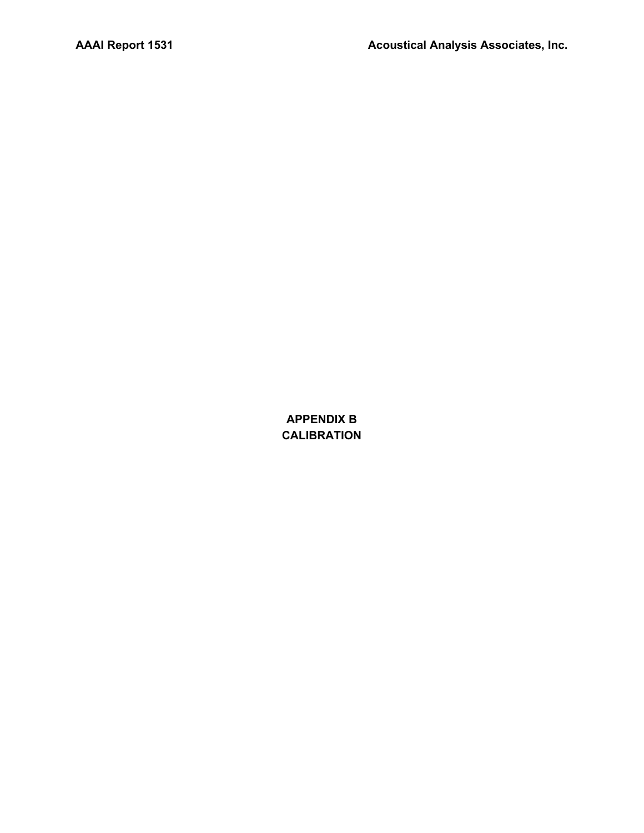**APPENDIX B CALIBRATION**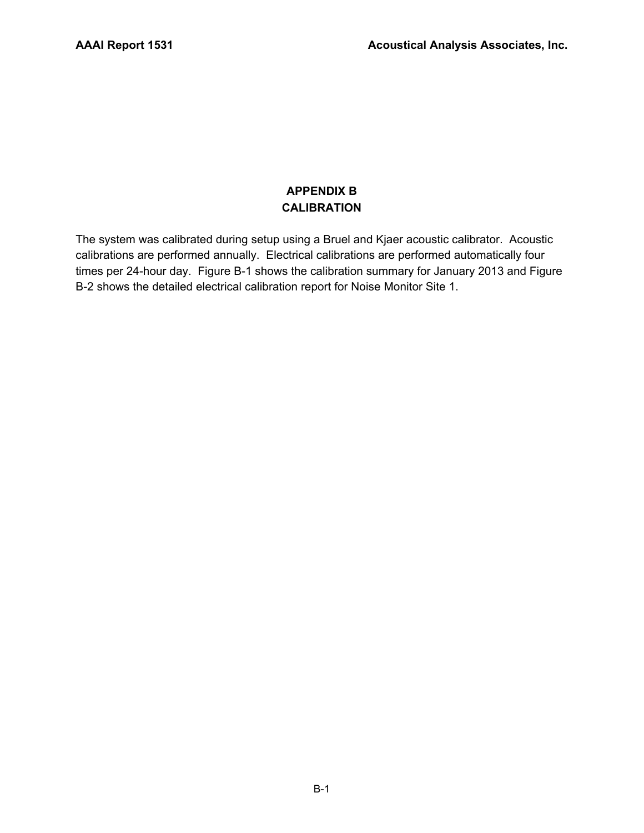## **APPENDIX B CALIBRATION**

The system was calibrated during setup using a Bruel and Kjaer acoustic calibrator. Acoustic calibrations are performed annually. Electrical calibrations are performed automatically four times per 24-hour day. Figure B-1 shows the calibration summary for January 2013 and Figure B-2 shows the detailed electrical calibration report for Noise Monitor Site 1.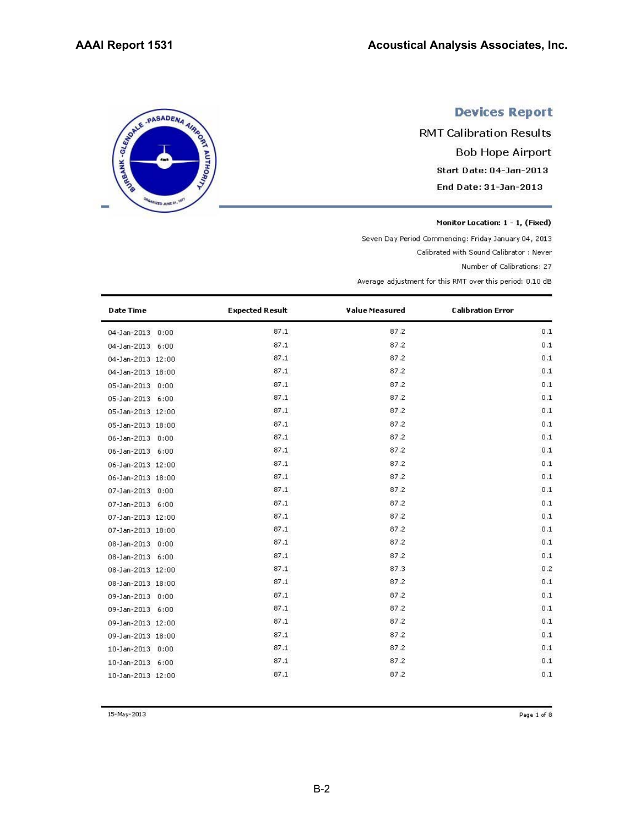SERIE - PASADENA AIRING

**ED JUNE 2** 

# **Devices Report**

**RMT Calibration Results Bob Hope Airport** Start Date: 04-Jan-2013 End Date: 31-Jan-2013

Monitor Location: 1 - 1, (Fixed)

Seven Day Period Commencing: Friday January 04, 2013

Calibrated with Sound Calibrator : Never

Number of Calibrations: 27

Average adjustment for this RMT over this period: 0.10 dB

| <b>Date Time</b>      | <b>Expected Result</b> | Value Measured | <b>Calibration Error</b> |
|-----------------------|------------------------|----------------|--------------------------|
| 04-Jan-2013 0:00      | 87.1                   | 87.2           | 0.1                      |
| 04-Jan-2013 6:00      | 87.1                   | 87.2           | 0.1                      |
| 04-Jan-2013 12:00     | 87.1                   | 87.2           | 0.1                      |
| 04-Jan-2013 18:00     | 87.1                   | 87.2           | 0.1                      |
| 05-Jan-2013 0:00      | 87.1                   | 87.2           | 0.1                      |
| 05-Jan-2013 6:00      | 87.1                   | 87.2           | 0.1                      |
| 05-Jan-2013 12:00     | 87.1                   | 87.2           | 0.1                      |
| 05-Jan-2013 18:00     | 87.1                   | 87.2           | 0.1                      |
| 06-Jan-2013 0:00      | 87.1                   | 87.2           | 0.1                      |
| 06-Jan-2013 6:00      | 87.1                   | 87.2           | 0.1                      |
| 06-Jan-2013 12:00     | 87.1                   | 87.2           | 0.1                      |
| 06-Jan-2013 18:00     | 87.1                   | 87.2           | 0.1                      |
| 07-Jan-2013 0:00      | 87.1                   | 87.2           | 0.1                      |
| 07-Jan-2013 6:00      | 87.1                   | 87.2           | 0.1                      |
| 07-Jan-2013 12:00     | 87.1                   | 87.2           | 0.1                      |
| 07-Jan-2013 18:00     | 87.1                   | 87.2           | 0.1                      |
| 08-Jan-2013 0:00      | 87.1                   | 87.2           | 0.1                      |
| 08-Jan-2013 6:00      | 87.1                   | 87.2           | 0.1                      |
| 08-Jan-2013 12:00     | 87.1                   | 87.3           | 0.2                      |
| 08-Jan-2013 18:00     | 87.1                   | 87.2           | 0.1                      |
| 09-Jan-2013 0:00      | 87.1                   | 87.2           | 0.1                      |
| 09-Jan-2013 6:00      | 87.1                   | 87.2           | 0.1                      |
| 09-Jan-2013 12:00     | 87.1                   | 87.2           | 0.1                      |
| 09-Jan-2013 18:00     | 87.1                   | 87.2           | 0.1                      |
| 10-Jan-2013 0:00      | 87.1                   | 87.2           | 0.1                      |
| 10-Jan-2013 6:00      | 87.1                   | 87.2           | 0.1                      |
| $10-1an-2013$ $12:00$ | 87.1                   | 87.2           | 0.1                      |

15-May-2013

Page 1 of 8